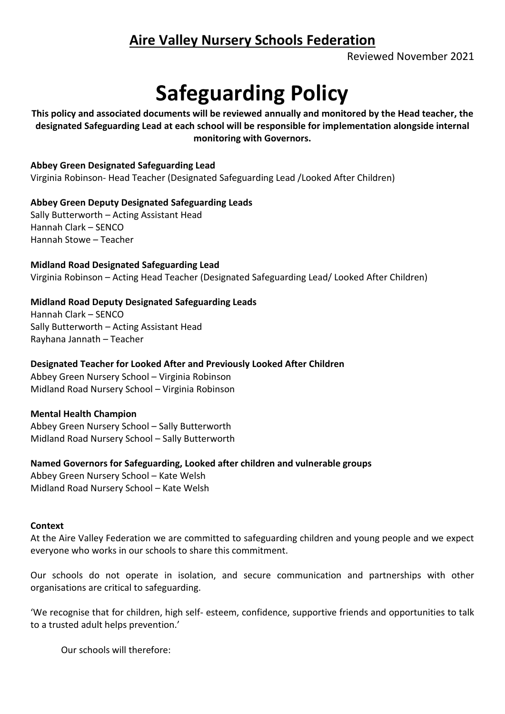# **Aire Valley Nursery Schools Federation**

Reviewed November 2021

# **Safeguarding Policy**

**This policy and associated documents will be reviewed annually and monitored by the Head teacher, the designated Safeguarding Lead at each school will be responsible for implementation alongside internal monitoring with Governors.**

#### **Abbey Green Designated Safeguarding Lead**

Virginia Robinson- Head Teacher (Designated Safeguarding Lead /Looked After Children)

**Abbey Green Deputy Designated Safeguarding Leads** Sally Butterworth – Acting Assistant Head Hannah Clark – SENCO Hannah Stowe – Teacher

**Midland Road Designated Safeguarding Lead** Virginia Robinson – Acting Head Teacher (Designated Safeguarding Lead/ Looked After Children)

# **Midland Road Deputy Designated Safeguarding Leads**

Hannah Clark – SENCO Sally Butterworth – Acting Assistant Head Rayhana Jannath – Teacher

**Designated Teacher for Looked After and Previously Looked After Children** Abbey Green Nursery School – Virginia Robinson Midland Road Nursery School – Virginia Robinson

#### **Mental Health Champion**

Abbey Green Nursery School – Sally Butterworth Midland Road Nursery School – Sally Butterworth

**Named Governors for Safeguarding, Looked after children and vulnerable groups** Abbey Green Nursery School – Kate Welsh Midland Road Nursery School – Kate Welsh

#### **Context**

At the Aire Valley Federation we are committed to safeguarding children and young people and we expect everyone who works in our schools to share this commitment.

Our schools do not operate in isolation, and secure communication and partnerships with other organisations are critical to safeguarding.

'We recognise that for children, high self- esteem, confidence, supportive friends and opportunities to talk to a trusted adult helps prevention.'

Our schools will therefore: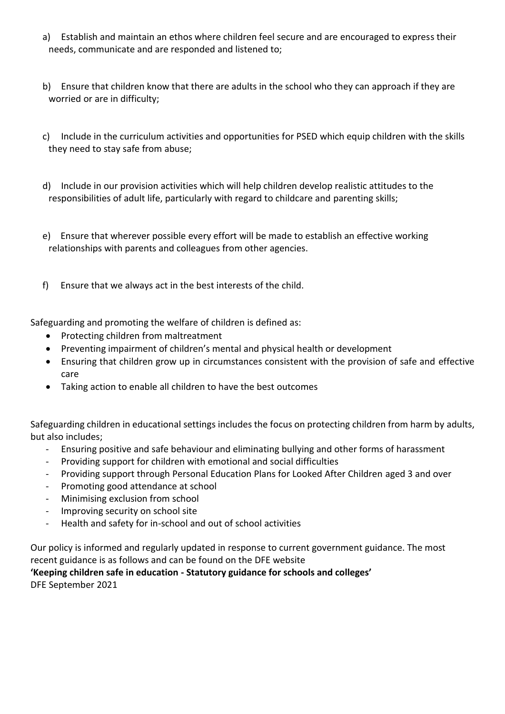- a) Establish and maintain an ethos where children feel secure and are encouraged to express their needs, communicate and are responded and listened to;
- b) Ensure that children know that there are adults in the school who they can approach if they are worried or are in difficulty;
- c) Include in the curriculum activities and opportunities for PSED which equip children with the skills they need to stay safe from abuse;
- d) Include in our provision activities which will help children develop realistic attitudes to the responsibilities of adult life, particularly with regard to childcare and parenting skills;
- e) Ensure that wherever possible every effort will be made to establish an effective working relationships with parents and colleagues from other agencies.
- f) Ensure that we always act in the best interests of the child.

Safeguarding and promoting the welfare of children is defined as:

- Protecting children from maltreatment
- Preventing impairment of children's mental and physical health or development
- Ensuring that children grow up in circumstances consistent with the provision of safe and effective care
- Taking action to enable all children to have the best outcomes

Safeguarding children in educational settings includes the focus on protecting children from harm by adults, but also includes;

- Ensuring positive and safe behaviour and eliminating bullying and other forms of harassment
- Providing support for children with emotional and social difficulties
- Providing support through Personal Education Plans for Looked After Children aged 3 and over
- Promoting good attendance at school
- Minimising exclusion from school
- Improving security on school site
- Health and safety for in-school and out of school activities

Our policy is informed and regularly updated in response to current government guidance. The most recent guidance is as follows and can be found on the DFE website

**'Keeping children safe in education - Statutory guidance for schools and colleges'**

DFE September 2021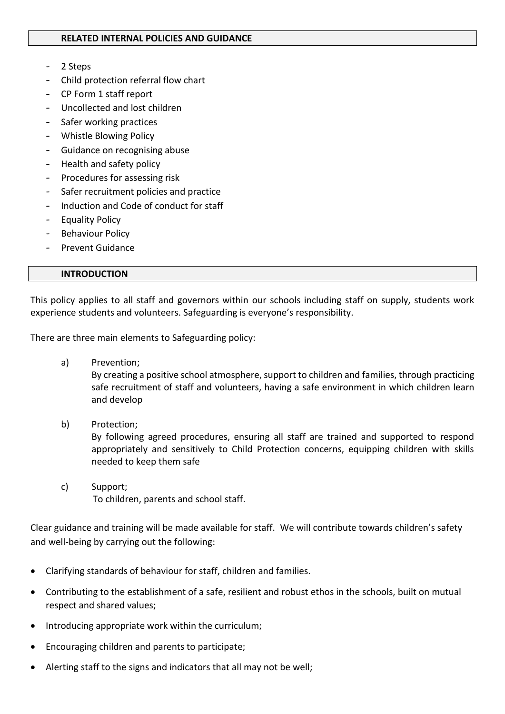#### **RELATED INTERNAL POLICIES AND GUIDANCE**

- 2 Steps
- Child protection referral flow chart
- CP Form 1 staff report
- Uncollected and lost children
- Safer working practices
- Whistle Blowing Policy
- Guidance on recognising abuse
- Health and safety policy
- Procedures for assessing risk
- Safer recruitment policies and practice
- Induction and Code of conduct for staff
- Equality Policy
- Behaviour Policy
- Prevent Guidance

#### **INTRODUCTION**

This policy applies to all staff and governors within our schools including staff on supply, students work experience students and volunteers. Safeguarding is everyone's responsibility.

There are three main elements to Safeguarding policy:

a) Prevention;

By creating a positive school atmosphere, support to children and families, through practicing safe recruitment of staff and volunteers, having a safe environment in which children learn and develop

b) Protection;

By following agreed procedures, ensuring all staff are trained and supported to respond appropriately and sensitively to Child Protection concerns, equipping children with skills needed to keep them safe

c) Support; To children, parents and school staff.

Clear guidance and training will be made available for staff. We will contribute towards children's safety and well-being by carrying out the following:

- Clarifying standards of behaviour for staff, children and families.
- Contributing to the establishment of a safe, resilient and robust ethos in the schools, built on mutual respect and shared values;
- Introducing appropriate work within the curriculum;
- Encouraging children and parents to participate;
- Alerting staff to the signs and indicators that all may not be well;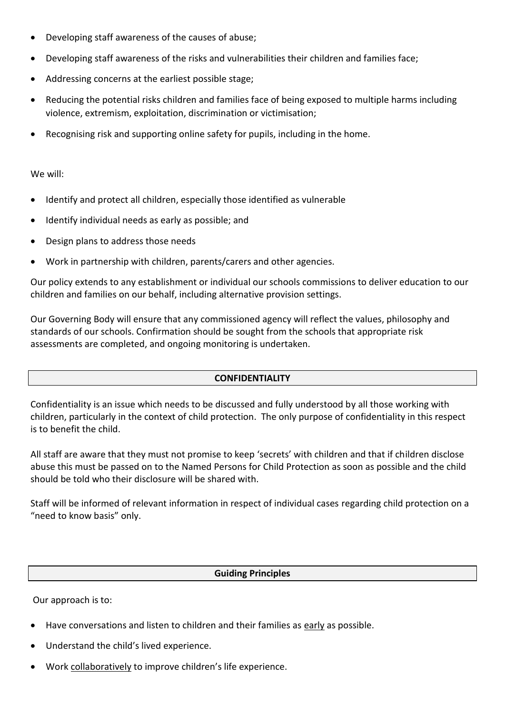- Developing staff awareness of the causes of abuse;
- Developing staff awareness of the risks and vulnerabilities their children and families face;
- Addressing concerns at the earliest possible stage;
- Reducing the potential risks children and families face of being exposed to multiple harms including violence, extremism, exploitation, discrimination or victimisation;
- Recognising risk and supporting online safety for pupils, including in the home.

#### We will:

- Identify and protect all children, especially those identified as vulnerable
- Identify individual needs as early as possible; and
- Design plans to address those needs
- Work in partnership with children, parents/carers and other agencies.

Our policy extends to any establishment or individual our schools commissions to deliver education to our children and families on our behalf, including alternative provision settings.

Our Governing Body will ensure that any commissioned agency will reflect the values, philosophy and standards of our schools. Confirmation should be sought from the schools that appropriate risk assessments are completed, and ongoing monitoring is undertaken*.*

#### **CONFIDENTIALITY**

Confidentiality is an issue which needs to be discussed and fully understood by all those working with children, particularly in the context of child protection. The only purpose of confidentiality in this respect is to benefit the child.

All staff are aware that they must not promise to keep 'secrets' with children and that if children disclose abuse this must be passed on to the Named Persons for Child Protection as soon as possible and the child should be told who their disclosure will be shared with.

Staff will be informed of relevant information in respect of individual cases regarding child protection on a "need to know basis" only.

#### **Guiding Principles**

Our approach is to:

- Have conversations and listen to children and their families as early as possible.
- Understand the child's lived experience.
- Work collaboratively to improve children's life experience.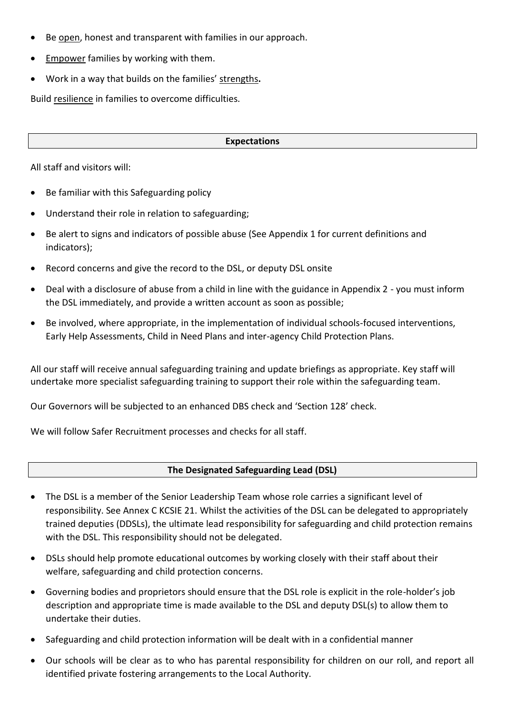- Be open, honest and transparent with families in our approach.
- **Empower** families by working with them.
- Work in a way that builds on the families' strengths**.**

Build resilience in families to overcome difficulties.

#### **Expectations**

All staff and visitors will:

- Be familiar with this Safeguarding policy
- Understand their role in relation to safeguarding;
- Be alert to signs and indicators of possible abuse (See Appendix 1 for current definitions and indicators);
- Record concerns and give the record to the DSL, or deputy DSL onsite
- Deal with a disclosure of abuse from a child in line with the guidance in Appendix 2 you must inform the DSL immediately, and provide a written account as soon as possible;
- Be involved, where appropriate, in the implementation of individual schools-focused interventions, Early Help Assessments, Child in Need Plans and inter-agency Child Protection Plans.

All our staff will receive annual safeguarding training and update briefings as appropriate. Key staff will undertake more specialist safeguarding training to support their role within the safeguarding team.

Our Governors will be subjected to an enhanced DBS check and 'Section 128' check.

We will follow Safer Recruitment processes and checks for all staff.

#### **The Designated Safeguarding Lead (DSL)**

- The DSL is a member of the Senior Leadership Team whose role carries a significant level of responsibility. See Annex C KCSIE 21. Whilst the activities of the DSL can be delegated to appropriately trained deputies (DDSLs), the ultimate lead responsibility for safeguarding and child protection remains with the DSL. This responsibility should not be delegated.
- DSLs should help promote educational outcomes by working closely with their staff about their welfare, safeguarding and child protection concerns.
- Governing bodies and proprietors should ensure that the DSL role is explicit in the role-holder's job description and appropriate time is made available to the DSL and deputy DSL(s) to allow them to undertake their duties.
- Safeguarding and child protection information will be dealt with in a confidential manner
- Our schools will be clear as to who has parental responsibility for children on our roll, and report all identified private fostering arrangements to the Local Authority.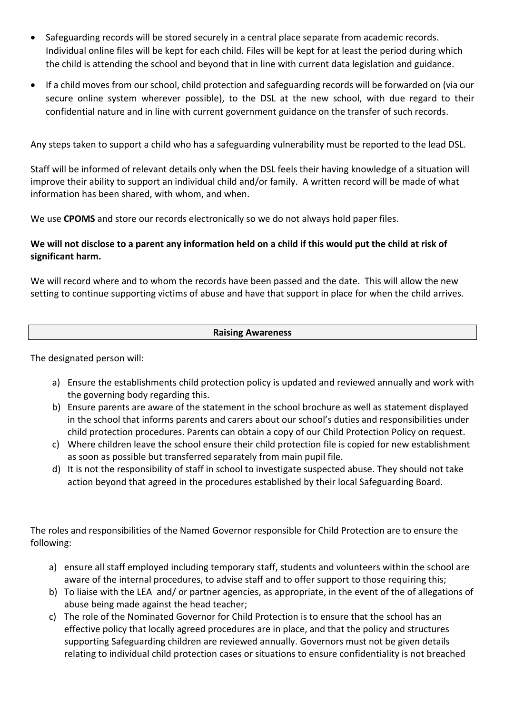- Safeguarding records will be stored securely in a central place separate from academic records. Individual online files will be kept for each child. Files will be kept for at least the period during which the child is attending the school and beyond that in line with current data legislation and guidance.
- If a child moves from our school, child protection and safeguarding records will be forwarded on (via our secure online system wherever possible), to the DSL at the new school, with due regard to their confidential nature and in line with current government guidance on the transfer of such records.

Any steps taken to support a child who has a safeguarding vulnerability must be reported to the lead DSL.

Staff will be informed of relevant details only when the DSL feels their having knowledge of a situation will improve their ability to support an individual child and/or family. A written record will be made of what information has been shared, with whom, and when.

We use **CPOMS** and store our records electronically so we do not always hold paper files.

# **We will not disclose to a parent any information held on a child if this would put the child at risk of significant harm.**

We will record where and to whom the records have been passed and the date. This will allow the new setting to continue supporting victims of abuse and have that support in place for when the child arrives.

#### **Raising Awareness**

The designated person will:

- a) Ensure the establishments child protection policy is updated and reviewed annually and work with the governing body regarding this.
- b) Ensure parents are aware of the statement in the school brochure as well as statement displayed in the school that informs parents and carers about our school's duties and responsibilities under child protection procedures. Parents can obtain a copy of our Child Protection Policy on request.
- c) Where children leave the school ensure their child protection file is copied for new establishment as soon as possible but transferred separately from main pupil file.
- d) It is not the responsibility of staff in school to investigate suspected abuse. They should not take action beyond that agreed in the procedures established by their local Safeguarding Board.

The roles and responsibilities of the Named Governor responsible for Child Protection are to ensure the following:

- a) ensure all staff employed including temporary staff, students and volunteers within the school are aware of the internal procedures, to advise staff and to offer support to those requiring this;
- b) To liaise with the LEA and/ or partner agencies, as appropriate, in the event of the of allegations of abuse being made against the head teacher;
- c) The role of the Nominated Governor for Child Protection is to ensure that the school has an effective policy that locally agreed procedures are in place, and that the policy and structures supporting Safeguarding children are reviewed annually. Governors must not be given details relating to individual child protection cases or situations to ensure confidentiality is not breached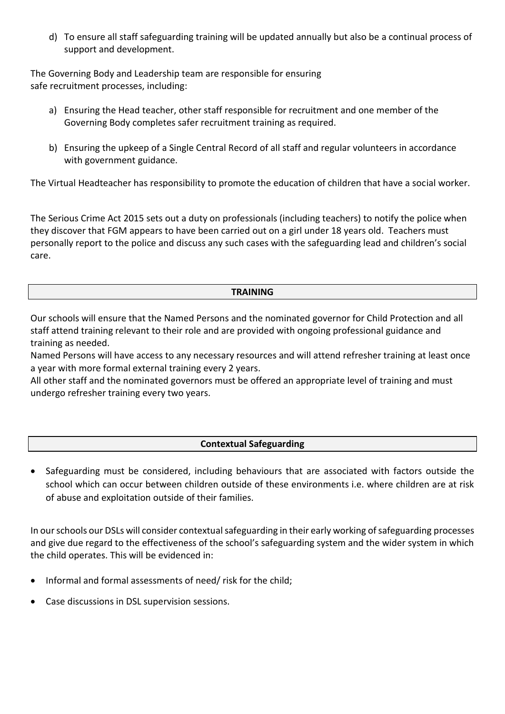d) To ensure all staff safeguarding training will be updated annually but also be a continual process of support and development.

The Governing Body and Leadership team are responsible for ensuring safe recruitment processes, including:

- a) Ensuring the Head teacher, other staff responsible for recruitment and one member of the Governing Body completes safer recruitment training as required.
- b) Ensuring the upkeep of a Single Central Record of all staff and regular volunteers in accordance with government guidance.

The Virtual Headteacher has responsibility to promote the education of children that have a social worker.

The Serious Crime Act 2015 sets out a duty on professionals (including teachers) to notify the police when they discover that FGM appears to have been carried out on a girl under 18 years old. Teachers must personally report to the police and discuss any such cases with the safeguarding lead and children's social care.

#### **TRAINING**

Our schools will ensure that the Named Persons and the nominated governor for Child Protection and all staff attend training relevant to their role and are provided with ongoing professional guidance and training as needed.

Named Persons will have access to any necessary resources and will attend refresher training at least once a year with more formal external training every 2 years.

All other staff and the nominated governors must be offered an appropriate level of training and must undergo refresher training every two years.

# **Contextual Safeguarding**

 Safeguarding must be considered, including behaviours that are associated with factors outside the school which can occur between children outside of these environments i.e. where children are at risk of abuse and exploitation outside of their families.

In our schools our DSLs will consider contextual safeguarding in their early working of safeguarding processes and give due regard to the effectiveness of the school's safeguarding system and the wider system in which the child operates. This will be evidenced in:

- Informal and formal assessments of need/ risk for the child;
- Case discussions in DSL supervision sessions.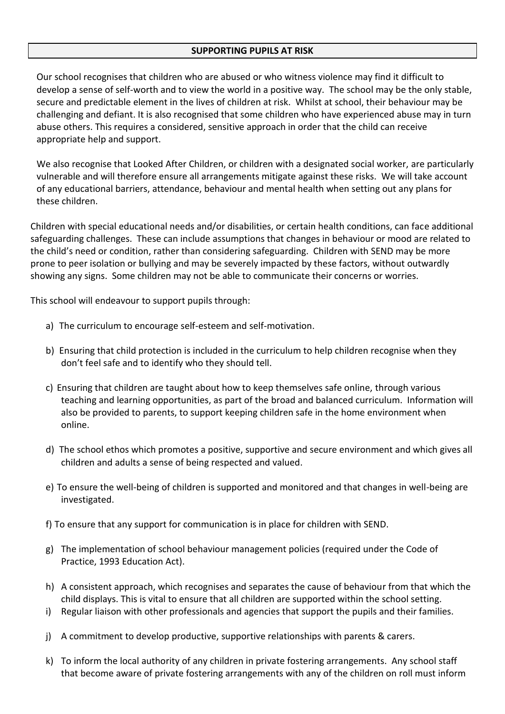#### **SUPPORTING PUPILS AT RISK**

Our school recognises that children who are abused or who witness violence may find it difficult to develop a sense of self-worth and to view the world in a positive way. The school may be the only stable, secure and predictable element in the lives of children at risk. Whilst at school, their behaviour may be challenging and defiant. It is also recognised that some children who have experienced abuse may in turn abuse others. This requires a considered, sensitive approach in order that the child can receive appropriate help and support.

We also recognise that Looked After Children, or children with a designated social worker, are particularly vulnerable and will therefore ensure all arrangements mitigate against these risks. We will take account of any educational barriers, attendance, behaviour and mental health when setting out any plans for these children.

Children with special educational needs and/or disabilities, or certain health conditions, can face additional safeguarding challenges. These can include assumptions that changes in behaviour or mood are related to the child's need or condition, rather than considering safeguarding. Children with SEND may be more prone to peer isolation or bullying and may be severely impacted by these factors, without outwardly showing any signs. Some children may not be able to communicate their concerns or worries.

This school will endeavour to support pupils through:

- a) The curriculum to encourage self-esteem and self-motivation.
- b) Ensuring that child protection is included in the curriculum to help children recognise when they don't feel safe and to identify who they should tell.
- c) Ensuring that children are taught about how to keep themselves safe online, through various teaching and learning opportunities, as part of the broad and balanced curriculum. Information will also be provided to parents, to support keeping children safe in the home environment when online.
- d) The school ethos which promotes a positive, supportive and secure environment and which gives all children and adults a sense of being respected and valued.
- e) To ensure the well-being of children is supported and monitored and that changes in well-being are investigated.
- f) To ensure that any support for communication is in place for children with SEND.
- g) The implementation of school behaviour management policies (required under the Code of Practice, 1993 Education Act).
- h) A consistent approach, which recognises and separates the cause of behaviour from that which the child displays. This is vital to ensure that all children are supported within the school setting.
- i) Regular liaison with other professionals and agencies that support the pupils and their families.
- j) A commitment to develop productive, supportive relationships with parents & carers.
- k) To inform the local authority of any children in private fostering arrangements. Any school staff that become aware of private fostering arrangements with any of the children on roll must inform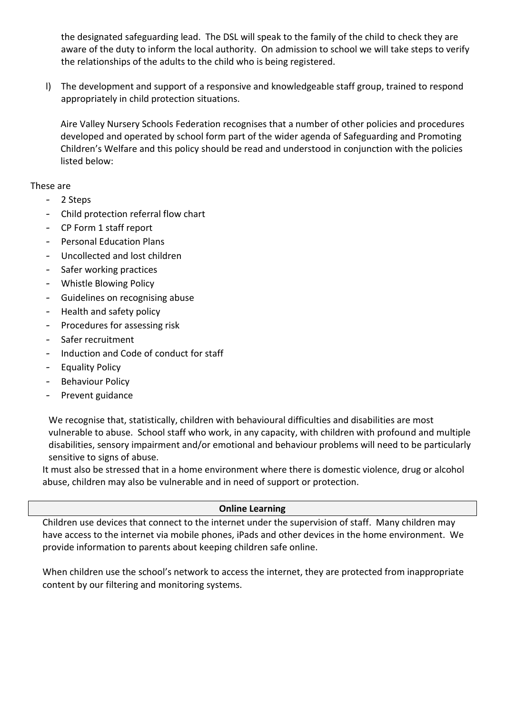the designated safeguarding lead. The DSL will speak to the family of the child to check they are aware of the duty to inform the local authority. On admission to school we will take steps to verify the relationships of the adults to the child who is being registered.

l) The development and support of a responsive and knowledgeable staff group, trained to respond appropriately in child protection situations.

Aire Valley Nursery Schools Federation recognises that a number of other policies and procedures developed and operated by school form part of the wider agenda of Safeguarding and Promoting Children's Welfare and this policy should be read and understood in conjunction with the policies listed below:

# These are

- 2 Steps
- Child protection referral flow chart
- CP Form 1 staff report
- Personal Education Plans
- Uncollected and lost children
- Safer working practices
- Whistle Blowing Policy
- Guidelines on recognising abuse
- Health and safety policy
- Procedures for assessing risk
- Safer recruitment
- Induction and Code of conduct for staff
- Equality Policy
- Behaviour Policy
- Prevent guidance

We recognise that, statistically, children with behavioural difficulties and disabilities are most vulnerable to abuse. School staff who work, in any capacity, with children with profound and multiple disabilities, sensory impairment and/or emotional and behaviour problems will need to be particularly sensitive to signs of abuse.

It must also be stressed that in a home environment where there is domestic violence, drug or alcohol abuse, children may also be vulnerable and in need of support or protection.

# **Online Learning**

Children use devices that connect to the internet under the supervision of staff. Many children may have access to the internet via mobile phones, iPads and other devices in the home environment. We provide information to parents about keeping children safe online.

When children use the school's network to access the internet, they are protected from inappropriate content by our filtering and monitoring systems.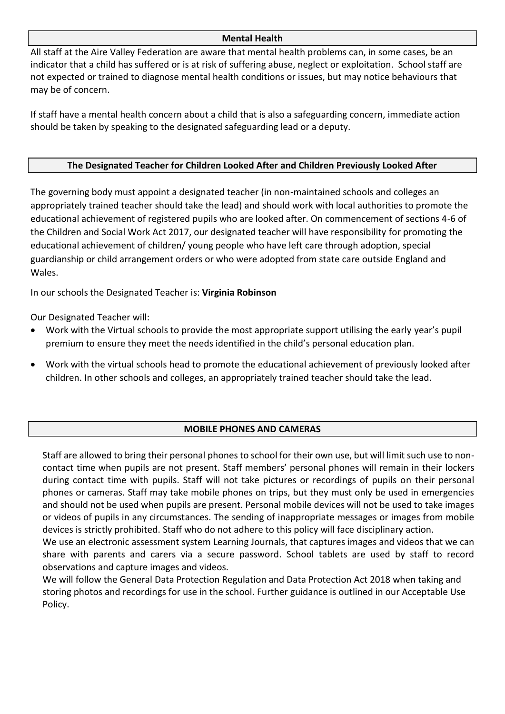#### **Mental Health**

All staff at the Aire Valley Federation are aware that mental health problems can, in some cases, be an indicator that a child has suffered or is at risk of suffering abuse, neglect or exploitation. School staff are not expected or trained to diagnose mental health conditions or issues, but may notice behaviours that may be of concern.

If staff have a mental health concern about a child that is also a safeguarding concern, immediate action should be taken by speaking to the designated safeguarding lead or a deputy.

# **The Designated Teacher for Children Looked After and Children Previously Looked After**

The governing body must appoint a designated teacher (in non-maintained schools and colleges an appropriately trained teacher should take the lead) and should work with local authorities to promote the educational achievement of registered pupils who are looked after. On commencement of sections 4-6 of the Children and Social Work Act 2017, our designated teacher will have responsibility for promoting the educational achievement of children/ young people who have left care through adoption, special guardianship or child arrangement orders or who were adopted from state care outside England and Wales.

In our schools the Designated Teacher is: **Virginia Robinson**

Our Designated Teacher will:

- Work with the Virtual schools to provide the most appropriate support utilising the early year's pupil premium to ensure they meet the needs identified in the child's personal education plan.
- Work with the virtual schools head to promote the educational achievement of previously looked after children. In other schools and colleges, an appropriately trained teacher should take the lead.

# **MOBILE PHONES AND CAMERAS**

Staff are allowed to bring their personal phones to school for their own use, but will limit such use to noncontact time when pupils are not present. Staff members' personal phones will remain in their lockers during contact time with pupils. Staff will not take pictures or recordings of pupils on their personal phones or cameras. Staff may take mobile phones on trips, but they must only be used in emergencies and should not be used when pupils are present. Personal mobile devices will not be used to take images or videos of pupils in any circumstances. The sending of inappropriate messages or images from mobile devices is strictly prohibited. Staff who do not adhere to this policy will face disciplinary action.

We use an electronic assessment system Learning Journals, that captures images and videos that we can share with parents and carers via a secure password. School tablets are used by staff to record observations and capture images and videos.

We will follow the General Data Protection Regulation and Data Protection Act 2018 when taking and storing photos and recordings for use in the school. Further guidance is outlined in our Acceptable Use Policy.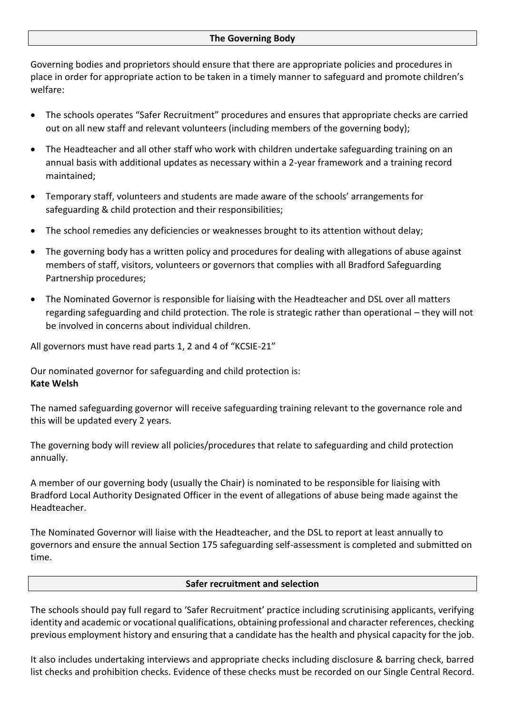Governing bodies and proprietors should ensure that there are appropriate policies and procedures in place in order for appropriate action to be taken in a timely manner to safeguard and promote children's welfare:

- The schools operates "Safer Recruitment" procedures and ensures that appropriate checks are carried out on all new staff and relevant volunteers (including members of the governing body);
- The Headteacher and all other staff who work with children undertake safeguarding training on an annual basis with additional updates as necessary within a 2-year framework and a training record maintained;
- Temporary staff, volunteers and students are made aware of the schools' arrangements for safeguarding & child protection and their responsibilities;
- The school remedies any deficiencies or weaknesses brought to its attention without delay;
- The governing body has a written policy and procedures for dealing with allegations of abuse against members of staff, visitors, volunteers or governors that complies with all Bradford Safeguarding Partnership procedures;
- The Nominated Governor is responsible for liaising with the Headteacher and DSL over all matters regarding safeguarding and child protection. The role is strategic rather than operational – they will not be involved in concerns about individual children.

All governors must have read parts 1, 2 and 4 of "KCSIE-21"

Our nominated governor for safeguarding and child protection is: **Kate Welsh**

The named safeguarding governor will receive safeguarding training relevant to the governance role and this will be updated every 2 years.

The governing body will review all policies/procedures that relate to safeguarding and child protection annually.

A member of our governing body (usually the Chair) is nominated to be responsible for liaising with Bradford Local Authority Designated Officer in the event of allegations of abuse being made against the Headteacher.

The Nominated Governor will liaise with the Headteacher, and the DSL to report at least annually to governors and ensure the annual Section 175 safeguarding self-assessment is completed and submitted on time.

#### **Safer recruitment and selection**

The schools should pay full regard to 'Safer Recruitment' practice including scrutinising applicants, verifying identity and academic or vocational qualifications, obtaining professional and character references, checking previous employment history and ensuring that a candidate has the health and physical capacity for the job.

It also includes undertaking interviews and appropriate checks including disclosure & barring check, barred list checks and prohibition checks. Evidence of these checks must be recorded on our Single Central Record.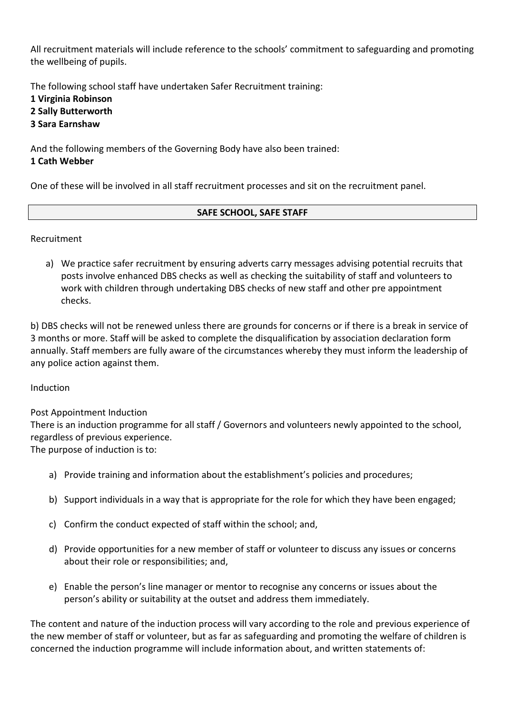All recruitment materials will include reference to the schools' commitment to safeguarding and promoting the wellbeing of pupils.

The following school staff have undertaken Safer Recruitment training: **1 Virginia Robinson 2 Sally Butterworth 3 Sara Earnshaw**

And the following members of the Governing Body have also been trained: **1 Cath Webber**

One of these will be involved in all staff recruitment processes and sit on the recruitment panel.

# **SAFE SCHOOL, SAFE STAFF**

Recruitment

a) We practice safer recruitment by ensuring adverts carry messages advising potential recruits that posts involve enhanced DBS checks as well as checking the suitability of staff and volunteers to work with children through undertaking DBS checks of new staff and other pre appointment checks.

b) DBS checks will not be renewed unless there are grounds for concerns or if there is a break in service of 3 months or more. Staff will be asked to complete the disqualification by association declaration form annually. Staff members are fully aware of the circumstances whereby they must inform the leadership of any police action against them.

Induction

Post Appointment Induction

There is an induction programme for all staff / Governors and volunteers newly appointed to the school, regardless of previous experience.

The purpose of induction is to:

- a) Provide training and information about the establishment's policies and procedures;
- b) Support individuals in a way that is appropriate for the role for which they have been engaged;
- c) Confirm the conduct expected of staff within the school; and,
- d) Provide opportunities for a new member of staff or volunteer to discuss any issues or concerns about their role or responsibilities; and,
- e) Enable the person's line manager or mentor to recognise any concerns or issues about the person's ability or suitability at the outset and address them immediately.

The content and nature of the induction process will vary according to the role and previous experience of the new member of staff or volunteer, but as far as safeguarding and promoting the welfare of children is concerned the induction programme will include information about, and written statements of: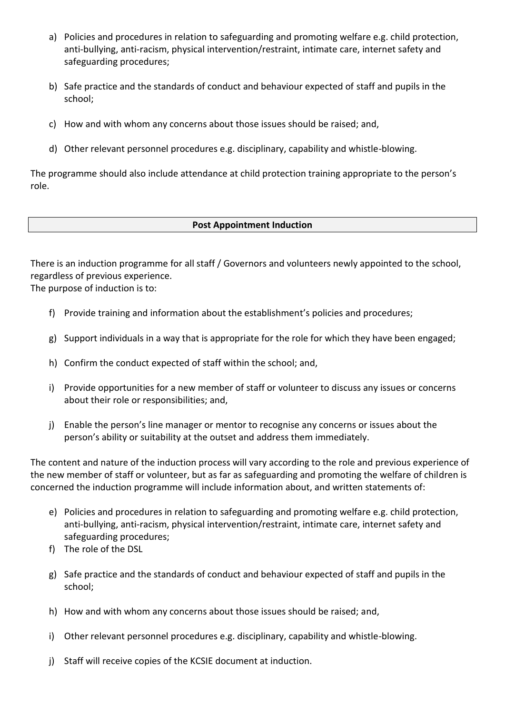- a) Policies and procedures in relation to safeguarding and promoting welfare e.g. child protection, anti-bullying, anti-racism, physical intervention/restraint, intimate care, internet safety and safeguarding procedures;
- b) Safe practice and the standards of conduct and behaviour expected of staff and pupils in the school;
- c) How and with whom any concerns about those issues should be raised; and,
- d) Other relevant personnel procedures e.g. disciplinary, capability and whistle-blowing.

The programme should also include attendance at child protection training appropriate to the person's role.

# **Post Appointment Induction**

There is an induction programme for all staff / Governors and volunteers newly appointed to the school, regardless of previous experience.

The purpose of induction is to:

- f) Provide training and information about the establishment's policies and procedures;
- g) Support individuals in a way that is appropriate for the role for which they have been engaged;
- h) Confirm the conduct expected of staff within the school; and,
- i) Provide opportunities for a new member of staff or volunteer to discuss any issues or concerns about their role or responsibilities; and,
- j) Enable the person's line manager or mentor to recognise any concerns or issues about the person's ability or suitability at the outset and address them immediately.

The content and nature of the induction process will vary according to the role and previous experience of the new member of staff or volunteer, but as far as safeguarding and promoting the welfare of children is concerned the induction programme will include information about, and written statements of:

- e) Policies and procedures in relation to safeguarding and promoting welfare e.g. child protection, anti-bullying, anti-racism, physical intervention/restraint, intimate care, internet safety and safeguarding procedures;
- f) The role of the DSL
- g) Safe practice and the standards of conduct and behaviour expected of staff and pupils in the school;
- h) How and with whom any concerns about those issues should be raised; and,
- i) Other relevant personnel procedures e.g. disciplinary, capability and whistle-blowing.
- j) Staff will receive copies of the KCSIE document at induction.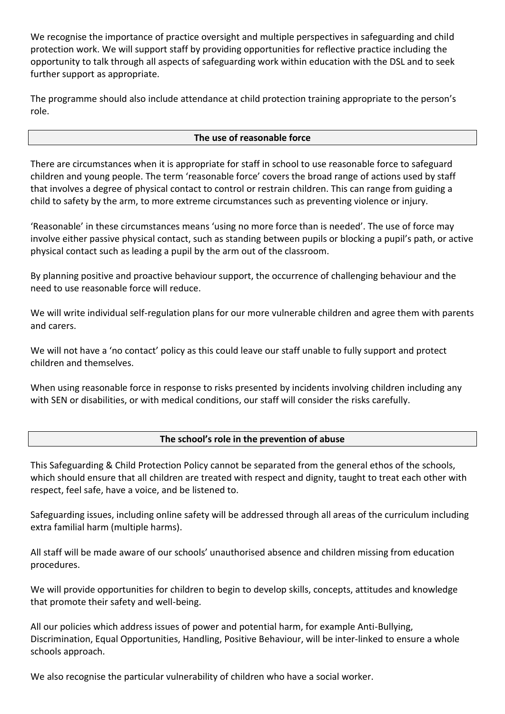We recognise the importance of practice oversight and multiple perspectives in safeguarding and child protection work. We will support staff by providing opportunities for reflective practice including the opportunity to talk through all aspects of safeguarding work within education with the DSL and to seek further support as appropriate.

The programme should also include attendance at child protection training appropriate to the person's role.

#### **The use of reasonable force**

There are circumstances when it is appropriate for staff in school to use reasonable force to safeguard children and young people. The term 'reasonable force' covers the broad range of actions used by staff that involves a degree of physical contact to control or restrain children. This can range from guiding a child to safety by the arm, to more extreme circumstances such as preventing violence or injury.

'Reasonable' in these circumstances means 'using no more force than is needed'. The use of force may involve either passive physical contact, such as standing between pupils or blocking a pupil's path, or active physical contact such as leading a pupil by the arm out of the classroom.

By planning positive and proactive behaviour support, the occurrence of challenging behaviour and the need to use reasonable force will reduce.

We will write individual self-regulation plans for our more vulnerable children and agree them with parents and carers.

We will not have a 'no contact' policy as this could leave our staff unable to fully support and protect children and themselves.

When using reasonable force in response to risks presented by incidents involving children including any with SEN or disabilities, or with medical conditions, our staff will consider the risks carefully.

# **The school's role in the prevention of abuse**

This Safeguarding & Child Protection Policy cannot be separated from the general ethos of the schools, which should ensure that all children are treated with respect and dignity, taught to treat each other with respect, feel safe, have a voice, and be listened to.

Safeguarding issues, including online safety will be addressed through all areas of the curriculum including extra familial harm (multiple harms).

All staff will be made aware of our schools' unauthorised absence and children missing from education procedures.

We will provide opportunities for children to begin to develop skills, concepts, attitudes and knowledge that promote their safety and well-being.

All our policies which address issues of power and potential harm, for example Anti-Bullying, Discrimination, Equal Opportunities, Handling, Positive Behaviour, will be inter-linked to ensure a whole schools approach.

We also recognise the particular vulnerability of children who have a social worker.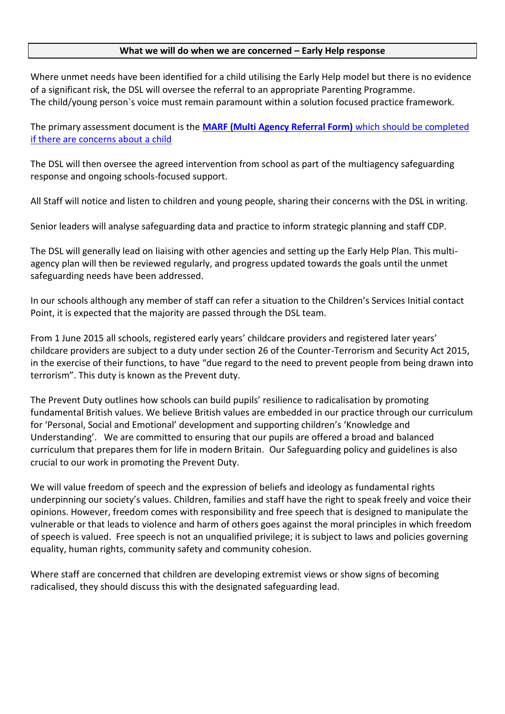#### **What we will do when we are concerned – Early Help response**

Where unmet needs have been identified for a child utilising the Early Help model but there is no evidence of a significant risk, the DSL will oversee the referral to an appropriate Parenting Programme. The child/young person`s voice must remain paramount within a solution focused practice framework.

The primary assessment document is the **[MARF \(Multi Agency Referral Form\)](https://bso.bradford.gov.uk/content/report-abuse-contacting-childrens-social-care)** which should be completed if there are concerns about a child

The DSL will then oversee the agreed intervention from school as part of the multiagency safeguarding response and ongoing schools-focused support.

All Staff will notice and listen to children and young people, sharing their concerns with the DSL in writing.

Senior leaders will analyse safeguarding data and practice to inform strategic planning and staff CDP.

The DSL will generally lead on liaising with other agencies and setting up the Early Help Plan. This multiagency plan will then be reviewed regularly, and progress updated towards the goals until the unmet safeguarding needs have been addressed.

In our schools although any member of staff can refer a situation to the Children's Services Initial contact Point, it is expected that the majority are passed through the DSL team.

From 1 June 2015 all schools, registered early years' childcare providers and registered later years' childcare providers are subject to a duty under section 26 of the Counter-Terrorism and Security Act 2015, in the exercise of their functions, to have "due regard to the need to prevent people from being drawn into terrorism". This duty is known as the Prevent duty.

The Prevent Duty outlines how schools can build pupils' resilience to radicalisation by promoting fundamental British values. We believe British values are embedded in our practice through our curriculum for 'Personal, Social and Emotional' development and supporting children's 'Knowledge and Understanding'. We are committed to ensuring that our pupils are offered a broad and balanced curriculum that prepares them for life in modern Britain. Our Safeguarding policy and guidelines is also crucial to our work in promoting the Prevent Duty.

We will value freedom of speech and the expression of beliefs and ideology as fundamental rights underpinning our society's values. Children, families and staff have the right to speak freely and voice their opinions. However, freedom comes with responsibility and free speech that is designed to manipulate the vulnerable or that leads to violence and harm of others goes against the moral principles in which freedom of speech is valued. Free speech is not an unqualified privilege; it is subject to laws and policies governing equality, human rights, community safety and community cohesion.

Where staff are concerned that children are developing extremist views or show signs of becoming radicalised, they should discuss this with the designated safeguarding lead.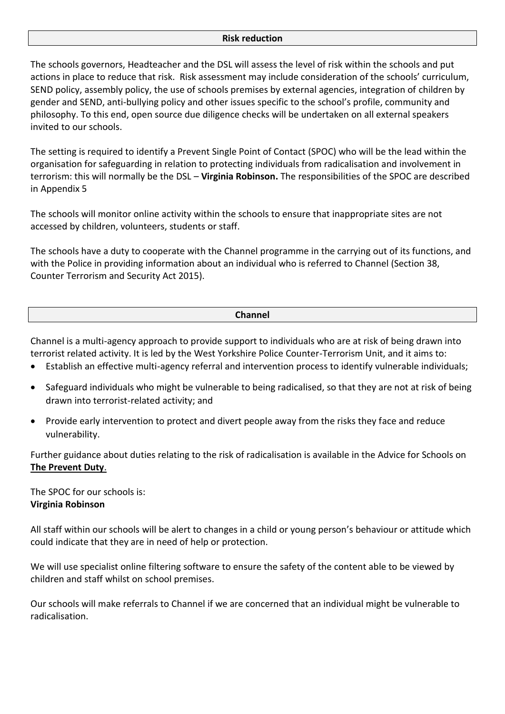#### **Risk reduction**

The schools governors, Headteacher and the DSL will assess the level of risk within the schools and put actions in place to reduce that risk. Risk assessment may include consideration of the schools' curriculum, SEND policy, assembly policy, the use of schools premises by external agencies, integration of children by gender and SEND, anti-bullying policy and other issues specific to the school's profile, community and philosophy. To this end, open source due diligence checks will be undertaken on all external speakers invited to our schools.

The setting is required to identify a Prevent Single Point of Contact (SPOC) who will be the lead within the organisation for safeguarding in relation to protecting individuals from radicalisation and involvement in terrorism: this will normally be the DSL – **Virginia Robinson.** The responsibilities of the SPOC are described in Appendix 5

The schools will monitor online activity within the schools to ensure that inappropriate sites are not accessed by children, volunteers, students or staff.

The schools have a duty to cooperate with the Channel programme in the carrying out of its functions, and with the Police in providing information about an individual who is referred to Channel (Section 38, Counter Terrorism and Security Act 2015).

#### **Channel**

Channel is a multi-agency approach to provide support to individuals who are at risk of being drawn into terrorist related activity. It is led by the West Yorkshire Police Counter-Terrorism Unit, and it aims to:

- Establish an effective multi-agency referral and intervention process to identify vulnerable individuals;
- Safeguard individuals who might be vulnerable to being radicalised, so that they are not at risk of being drawn into terrorist-related activity; and
- Provide early intervention to protect and divert people away from the risks they face and reduce vulnerability.

Further guidance about duties relating to the risk of radicalisation is available in the Advice for Schools on **[The Prevent Duty](https://www.gov.uk/government/publications/protecting-children-from-radicalisation-the-prevent-duty)**.

The SPOC for our schools is: **Virginia Robinson**

All staff within our schools will be alert to changes in a child or young person's behaviour or attitude which could indicate that they are in need of help or protection.

We will use specialist online filtering software to ensure the safety of the content able to be viewed by children and staff whilst on school premises.

Our schools will make referrals to Channel if we are concerned that an individual might be vulnerable to radicalisation.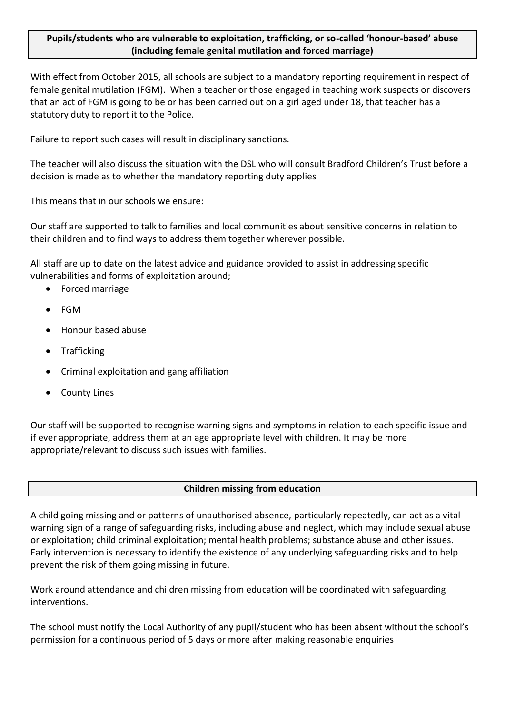#### **Pupils/students who are vulnerable to exploitation, trafficking, or so-called 'honour-based' abuse (including female genital mutilation and forced marriage)**

With effect from October 2015, all schools are subject to a mandatory reporting requirement in respect of female genital mutilation (FGM). When a teacher or those engaged in teaching work suspects or discovers that an act of FGM is going to be or has been carried out on a girl aged under 18, that teacher has a statutory duty to report it to the Police.

Failure to report such cases will result in disciplinary sanctions.

The teacher will also discuss the situation with the DSL who will consult Bradford Children's Trust before a decision is made as to whether the mandatory reporting duty applies

This means that in our schools we ensure:

Our staff are supported to talk to families and local communities about sensitive concerns in relation to their children and to find ways to address them together wherever possible.

All staff are up to date on the latest advice and guidance provided to assist in addressing specific vulnerabilities and forms of exploitation around;

- Forced marriage
- FGM
- Honour based abuse
- Trafficking
- Criminal exploitation and gang affiliation
- County Lines

Our staff will be supported to recognise warning signs and symptoms in relation to each specific issue and if ever appropriate, address them at an age appropriate level with children. It may be more appropriate/relevant to discuss such issues with families.

# **Children missing from education**

A child going missing and or patterns of unauthorised absence, particularly repeatedly, can act as a vital warning sign of a range of safeguarding risks, including abuse and neglect, which may include sexual abuse or exploitation; child criminal exploitation; mental health problems; substance abuse and other issues. Early intervention is necessary to identify the existence of any underlying safeguarding risks and to help prevent the risk of them going missing in future.

Work around attendance and children missing from education will be coordinated with safeguarding interventions.

The school must notify the Local Authority of any pupil/student who has been absent without the school's permission for a continuous period of 5 days or more after making reasonable enquiries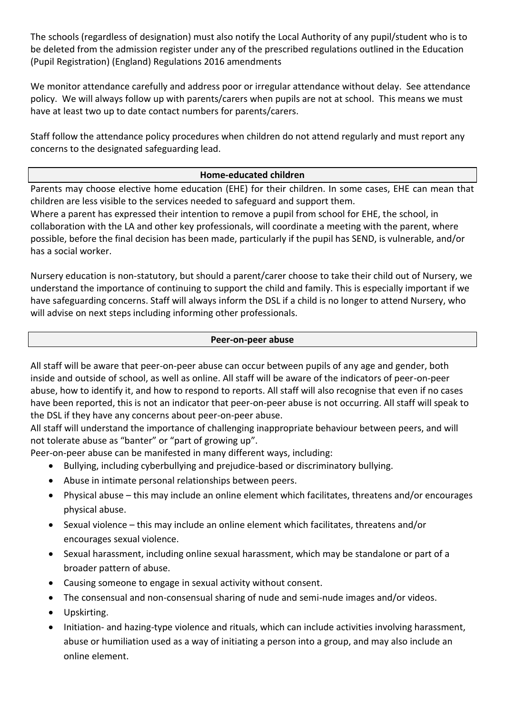The schools (regardless of designation) must also notify the Local Authority of any pupil/student who is to be deleted from the admission register under any of the prescribed regulations outlined in the Education (Pupil Registration) (England) Regulations 2016 amendments

We monitor attendance carefully and address poor or irregular attendance without delay. See attendance policy. We will always follow up with parents/carers when pupils are not at school. This means we must have at least two up to date contact numbers for parents/carers.

Staff follow the attendance policy procedures when children do not attend regularly and must report any concerns to the designated safeguarding lead.

# **Home-educated children**

Parents may choose elective home education (EHE) for their children. In some cases, EHE can mean that children are less visible to the services needed to safeguard and support them.

Where a parent has expressed their intention to remove a pupil from school for EHE, the school, in collaboration with the LA and other key professionals, will coordinate a meeting with the parent, where possible, before the final decision has been made, particularly if the pupil has SEND, is vulnerable, and/or has a social worker.

Nursery education is non-statutory, but should a parent/carer choose to take their child out of Nursery, we understand the importance of continuing to support the child and family. This is especially important if we have safeguarding concerns. Staff will always inform the DSL if a child is no longer to attend Nursery, who will advise on next steps including informing other professionals.

#### **Peer-on-peer abuse**

All staff will be aware that peer-on-peer abuse can occur between pupils of any age and gender, both inside and outside of school, as well as online. All staff will be aware of the indicators of peer-on-peer abuse, how to identify it, and how to respond to reports. All staff will also recognise that even if no cases have been reported, this is not an indicator that peer-on-peer abuse is not occurring. All staff will speak to the DSL if they have any concerns about peer-on-peer abuse.

All staff will understand the importance of challenging inappropriate behaviour between peers, and will not tolerate abuse as "banter" or "part of growing up".

Peer-on-peer abuse can be manifested in many different ways, including:

- Bullying, including cyberbullying and prejudice-based or discriminatory bullying.
- Abuse in intimate personal relationships between peers.
- Physical abuse this may include an online element which facilitates, threatens and/or encourages physical abuse.
- Sexual violence this may include an online element which facilitates, threatens and/or encourages sexual violence.
- Sexual harassment, including online sexual harassment, which may be standalone or part of a broader pattern of abuse.
- Causing someone to engage in sexual activity without consent.
- The consensual and non-consensual sharing of nude and semi-nude images and/or videos.
- Upskirting.
- Initiation- and hazing-type violence and rituals, which can include activities involving harassment, abuse or humiliation used as a way of initiating a person into a group, and may also include an online element.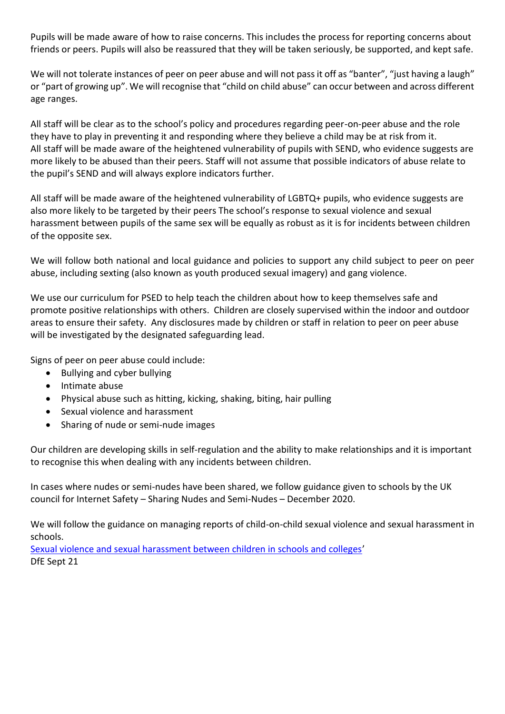Pupils will be made aware of how to raise concerns. This includes the process for reporting concerns about friends or peers. Pupils will also be reassured that they will be taken seriously, be supported, and kept safe.

We will not tolerate instances of peer on peer abuse and will not pass it off as "banter", "just having a laugh" or "part of growing up". We will recognise that "child on child abuse" can occur between and across different age ranges.

All staff will be clear as to the school's policy and procedures regarding peer-on-peer abuse and the role they have to play in preventing it and responding where they believe a child may be at risk from it. All staff will be made aware of the heightened vulnerability of pupils with SEND, who evidence suggests are more likely to be abused than their peers. Staff will not assume that possible indicators of abuse relate to the pupil's SEND and will always explore indicators further.

All staff will be made aware of the heightened vulnerability of LGBTQ+ pupils, who evidence suggests are also more likely to be targeted by their peers The school's response to sexual violence and sexual harassment between pupils of the same sex will be equally as robust as it is for incidents between children of the opposite sex.

We will follow both national and local guidance and policies to support any child subject to peer on peer abuse, including sexting (also known as youth produced sexual imagery) and gang violence.

We use our curriculum for PSED to help teach the children about how to keep themselves safe and promote positive relationships with others. Children are closely supervised within the indoor and outdoor areas to ensure their safety. Any disclosures made by children or staff in relation to peer on peer abuse will be investigated by the designated safeguarding lead.

Signs of peer on peer abuse could include:

- Bullying and cyber bullying
- Intimate abuse
- Physical abuse such as hitting, kicking, shaking, biting, hair pulling
- Sexual violence and harassment
- Sharing of nude or semi-nude images

Our children are developing skills in self-regulation and the ability to make relationships and it is important to recognise this when dealing with any incidents between children.

In cases where nudes or semi-nudes have been shared, we follow guidance given to schools by the UK council for Internet Safety – Sharing Nudes and Semi-Nudes – December 2020.

We will follow the guidance on managing reports of child-on-child sexual violence and sexual harassment in schools.

[Sexual violence and sexual harassment between children in schools and colleges](https://www.gov.uk/government/publications/sexual-violence-and-sexual-harassment-between-children-in-schools-and-colleges)' DfE Sept 21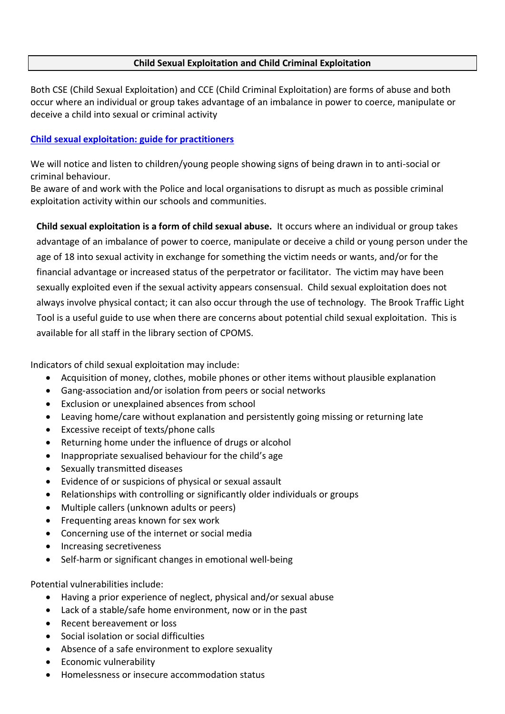# **Child Sexual Exploitation and Child Criminal Exploitation**

Both CSE (Child Sexual Exploitation) and CCE (Child Criminal Exploitation) are forms of abuse and both occur where an individual or group takes advantage of an imbalance in power to coerce, manipulate or deceive a child into sexual or criminal activity

# **[Child sexual exploitation: guide for practitioners](https://www.gov.uk/government/publications/child-sexual-exploitation-definition-and-guide-for-practitioners)**

We will notice and listen to children/young people showing signs of being drawn in to anti-social or criminal behaviour.

Be aware of and work with the Police and local organisations to disrupt as much as possible criminal exploitation activity within our schools and communities.

**Child sexual exploitation is a form of child sexual abuse.** It occurs where an individual or group takes advantage of an imbalance of power to coerce, manipulate or deceive a child or young person under the age of 18 into sexual activity in exchange for something the victim needs or wants, and/or for the financial advantage or increased status of the perpetrator or facilitator. The victim may have been sexually exploited even if the sexual activity appears consensual. Child sexual exploitation does not always involve physical contact; it can also occur through the use of technology. The Brook Traffic Light Tool is a useful guide to use when there are concerns about potential child sexual exploitation. This is available for all staff in the library section of CPOMS.

Indicators of child sexual exploitation may include:

- Acquisition of money, clothes, mobile phones or other items without plausible explanation
- Gang-association and/or isolation from peers or social networks
- Exclusion or unexplained absences from school
- Leaving home/care without explanation and persistently going missing or returning late
- Excessive receipt of texts/phone calls
- Returning home under the influence of drugs or alcohol
- Inappropriate sexualised behaviour for the child's age
- Sexually transmitted diseases
- Evidence of or suspicions of physical or sexual assault
- Relationships with controlling or significantly older individuals or groups
- Multiple callers (unknown adults or peers)
- Frequenting areas known for sex work
- Concerning use of the internet or social media
- Increasing secretiveness
- Self-harm or significant changes in emotional well-being

Potential vulnerabilities include:

- Having a prior experience of neglect, physical and/or sexual abuse
- Lack of a stable/safe home environment, now or in the past
- Recent bereavement or loss
- Social isolation or social difficulties
- Absence of a safe environment to explore sexuality
- **•** Economic vulnerability
- Homelessness or insecure accommodation status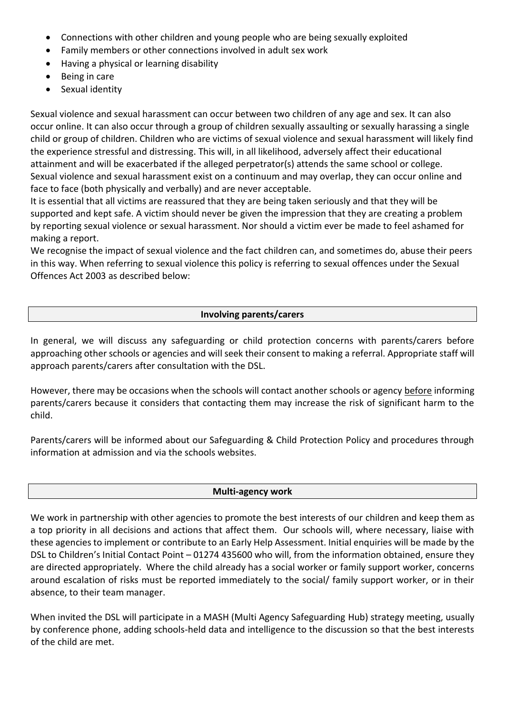- Connections with other children and young people who are being sexually exploited
- Family members or other connections involved in adult sex work
- Having a physical or learning disability
- Being in care
- Sexual identity

Sexual violence and sexual harassment can occur between two children of any age and sex. It can also occur online. It can also occur through a group of children sexually assaulting or sexually harassing a single child or group of children. Children who are victims of sexual violence and sexual harassment will likely find the experience stressful and distressing. This will, in all likelihood, adversely affect their educational attainment and will be exacerbated if the alleged perpetrator(s) attends the same school or college. Sexual violence and sexual harassment exist on a continuum and may overlap, they can occur online and face to face (both physically and verbally) and are never acceptable.

It is essential that all victims are reassured that they are being taken seriously and that they will be supported and kept safe. A victim should never be given the impression that they are creating a problem by reporting sexual violence or sexual harassment. Nor should a victim ever be made to feel ashamed for making a report.

We recognise the impact of sexual violence and the fact children can, and sometimes do, abuse their peers in this way. When referring to sexual violence this policy is referring to sexual offences under the Sexual Offences Act 2003 as described below:

#### **Involving parents/carers**

In general, we will discuss any safeguarding or child protection concerns with parents/carers before approaching other schools or agencies and will seek their consent to making a referral. Appropriate staff will approach parents/carers after consultation with the DSL.

However, there may be occasions when the schools will contact another schools or agency before informing parents/carers because it considers that contacting them may increase the risk of significant harm to the child.

Parents/carers will be informed about our Safeguarding & Child Protection Policy and procedures through information at admission and via the schools websites.

#### **Multi-agency work**

We work in partnership with other agencies to promote the best interests of our children and keep them as a top priority in all decisions and actions that affect them. Our schools will, where necessary, liaise with these agencies to implement or contribute to an Early Help Assessment. Initial enquiries will be made by the DSL to Children's Initial Contact Point – 01274 435600 who will, from the information obtained, ensure they are directed appropriately. Where the child already has a social worker or family support worker, concerns around escalation of risks must be reported immediately to the social/ family support worker, or in their absence, to their team manager.

When invited the DSL will participate in a MASH (Multi Agency Safeguarding Hub) strategy meeting, usually by conference phone, adding schools-held data and intelligence to the discussion so that the best interests of the child are met.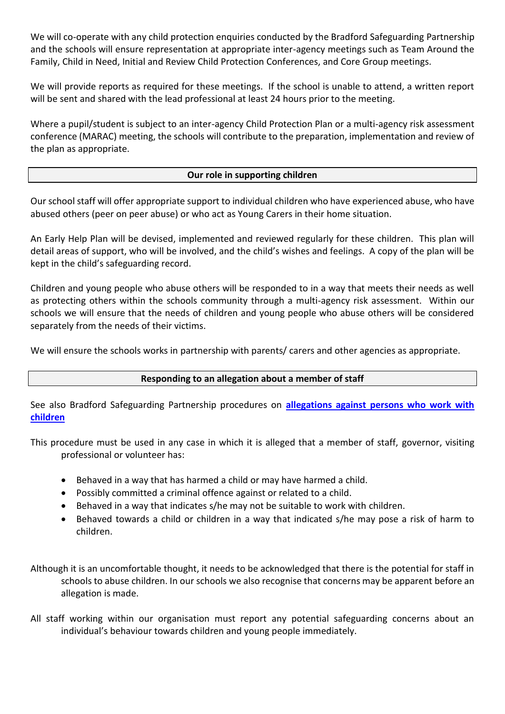We will co-operate with any child protection enquiries conducted by the Bradford Safeguarding Partnership and the schools will ensure representation at appropriate inter-agency meetings such as Team Around the Family, Child in Need, Initial and Review Child Protection Conferences, and Core Group meetings.

We will provide reports as required for these meetings. If the school is unable to attend, a written report will be sent and shared with the lead professional at least 24 hours prior to the meeting.

Where a pupil/student is subject to an inter-agency Child Protection Plan or a multi-agency risk assessment conference (MARAC) meeting, the schools will contribute to the preparation, implementation and review of the plan as appropriate.

#### **Our role in supporting children**

Our school staff will offer appropriate support to individual children who have experienced abuse, who have abused others (peer on peer abuse) or who act as Young Carers in their home situation.

An Early Help Plan will be devised, implemented and reviewed regularly for these children. This plan will detail areas of support, who will be involved, and the child's wishes and feelings. A copy of the plan will be kept in the child's safeguarding record.

Children and young people who abuse others will be responded to in a way that meets their needs as well as protecting others within the schools community through a multi-agency risk assessment. Within our schools we will ensure that the needs of children and young people who abuse others will be considered separately from the needs of their victims.

We will ensure the schools works in partnership with parents/ carers and other agencies as appropriate.

# **Responding to an allegation about a member of staff**

See also Bradford Safeguarding Partnership procedures on **[allegations against persons who work with](https://saferbradford.co.uk/resources/childrens/allegations-management-and-safer-recruitment/?zoom_highlight=LADO)  [children](https://saferbradford.co.uk/resources/childrens/allegations-management-and-safer-recruitment/?zoom_highlight=LADO)**

This procedure must be used in any case in which it is alleged that a member of staff, governor, visiting professional or volunteer has:

- Behaved in a way that has harmed a child or may have harmed a child.
- Possibly committed a criminal offence against or related to a child.
- Behaved in a way that indicates s/he may not be suitable to work with children.
- Behaved towards a child or children in a way that indicated s/he may pose a risk of harm to children.

Although it is an uncomfortable thought, it needs to be acknowledged that there is the potential for staff in schools to abuse children. In our schools we also recognise that concerns may be apparent before an allegation is made.

All staff working within our organisation must report any potential safeguarding concerns about an individual's behaviour towards children and young people immediately.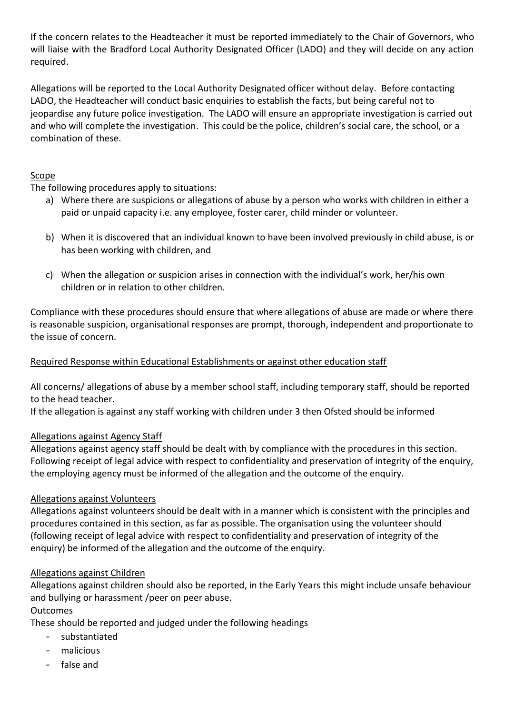If the concern relates to the Headteacher it must be reported immediately to the Chair of Governors, who will liaise with the Bradford Local Authority Designated Officer (LADO) and they will decide on any action required.

Allegations will be reported to the Local Authority Designated officer without delay. Before contacting LADO, the Headteacher will conduct basic enquiries to establish the facts, but being careful not to jeopardise any future police investigation. The LADO will ensure an appropriate investigation is carried out and who will complete the investigation. This could be the police, children's social care, the school, or a combination of these.

# **Scope**

The following procedures apply to situations:

- a) Where there are suspicions or allegations of abuse by a person who works with children in either a paid or unpaid capacity i.e. any employee, foster carer, child minder or volunteer.
- b) When it is discovered that an individual known to have been involved previously in child abuse, is or has been working with children, and
- c) When the allegation or suspicion arises in connection with the individual's work, her/his own children or in relation to other children.

Compliance with these procedures should ensure that where allegations of abuse are made or where there is reasonable suspicion, organisational responses are prompt, thorough, independent and proportionate to the issue of concern.

# Required Response within Educational Establishments or against other education staff

All concerns/ allegations of abuse by a member school staff, including temporary staff, should be reported to the head teacher.

If the allegation is against any staff working with children under 3 then Ofsted should be informed

# Allegations against Agency Staff

Allegations against agency staff should be dealt with by compliance with the procedures in this section. Following receipt of legal advice with respect to confidentiality and preservation of integrity of the enquiry, the employing agency must be informed of the allegation and the outcome of the enquiry.

# Allegations against Volunteers

Allegations against volunteers should be dealt with in a manner which is consistent with the principles and procedures contained in this section, as far as possible. The organisation using the volunteer should (following receipt of legal advice with respect to confidentiality and preservation of integrity of the enquiry) be informed of the allegation and the outcome of the enquiry.

# Allegations against Children

Allegations against children should also be reported, in the Early Years this might include unsafe behaviour and bullying or harassment /peer on peer abuse.

# **Outcomes**

These should be reported and judged under the following headings

- substantiated
- malicious
- false and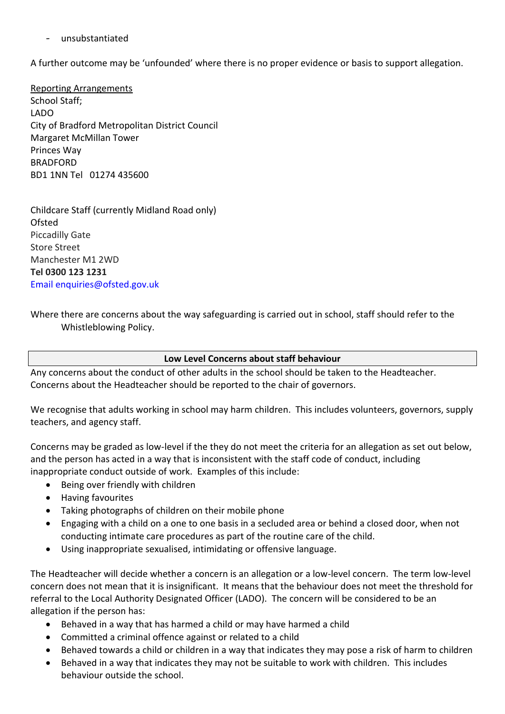unsubstantiated

A further outcome may be 'unfounded' where there is no proper evidence or basis to support allegation.

Reporting Arrangements School Staff; LADO City of Bradford Metropolitan District Council Margaret McMillan Tower Princes Way BRADFORD BD1 1NN Tel 01274 435600

Childcare Staff (currently Midland Road only) Ofsted Piccadilly Gate Store Street Manchester M1 2WD **Tel 0300 123 1231**  Email enquiries@ofsted.gov.uk

Where there are concerns about the way safeguarding is carried out in school, staff should refer to the Whistleblowing Policy.

**Low Level Concerns about staff behaviour**

Any concerns about the conduct of other adults in the school should be taken to the Headteacher. Concerns about the Headteacher should be reported to the chair of governors.

We recognise that adults working in school may harm children. This includes volunteers, governors, supply teachers, and agency staff.

Concerns may be graded as low-level if the they do not meet the criteria for an allegation as set out below, and the person has acted in a way that is inconsistent with the staff code of conduct, including inappropriate conduct outside of work. Examples of this include:

- Being over friendly with children
- **•** Having favourites
- Taking photographs of children on their mobile phone
- Engaging with a child on a one to one basis in a secluded area or behind a closed door, when not conducting intimate care procedures as part of the routine care of the child.
- Using inappropriate sexualised, intimidating or offensive language.

The Headteacher will decide whether a concern is an allegation or a low-level concern. The term low-level concern does not mean that it is insignificant. It means that the behaviour does not meet the threshold for referral to the Local Authority Designated Officer (LADO). The concern will be considered to be an allegation if the person has:

- Behaved in a way that has harmed a child or may have harmed a child
- Committed a criminal offence against or related to a child
- Behaved towards a child or children in a way that indicates they may pose a risk of harm to children
- Behaved in a way that indicates they may not be suitable to work with children. This includes behaviour outside the school.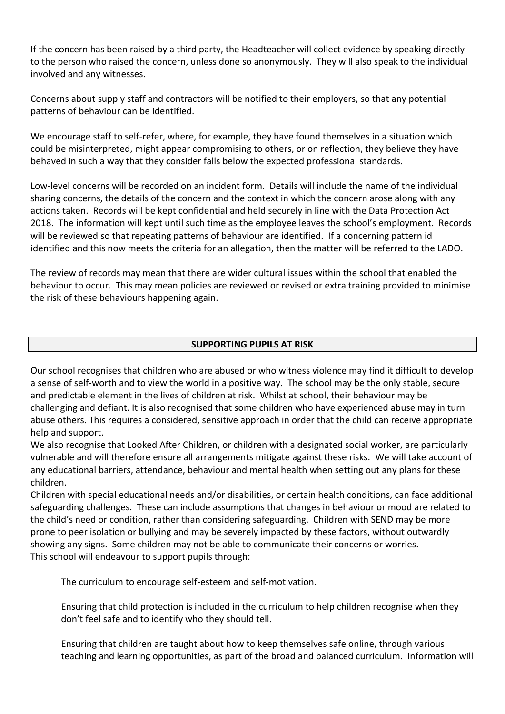If the concern has been raised by a third party, the Headteacher will collect evidence by speaking directly to the person who raised the concern, unless done so anonymously. They will also speak to the individual involved and any witnesses.

Concerns about supply staff and contractors will be notified to their employers, so that any potential patterns of behaviour can be identified.

We encourage staff to self-refer, where, for example, they have found themselves in a situation which could be misinterpreted, might appear compromising to others, or on reflection, they believe they have behaved in such a way that they consider falls below the expected professional standards.

Low-level concerns will be recorded on an incident form. Details will include the name of the individual sharing concerns, the details of the concern and the context in which the concern arose along with any actions taken. Records will be kept confidential and held securely in line with the Data Protection Act 2018. The information will kept until such time as the employee leaves the school's employment. Records will be reviewed so that repeating patterns of behaviour are identified. If a concerning pattern id identified and this now meets the criteria for an allegation, then the matter will be referred to the LADO.

The review of records may mean that there are wider cultural issues within the school that enabled the behaviour to occur. This may mean policies are reviewed or revised or extra training provided to minimise the risk of these behaviours happening again.

# **SUPPORTING PUPILS AT RISK**

Our school recognises that children who are abused or who witness violence may find it difficult to develop a sense of self-worth and to view the world in a positive way. The school may be the only stable, secure and predictable element in the lives of children at risk. Whilst at school, their behaviour may be challenging and defiant. It is also recognised that some children who have experienced abuse may in turn abuse others. This requires a considered, sensitive approach in order that the child can receive appropriate help and support.

We also recognise that Looked After Children, or children with a designated social worker, are particularly vulnerable and will therefore ensure all arrangements mitigate against these risks. We will take account of any educational barriers, attendance, behaviour and mental health when setting out any plans for these children.

Children with special educational needs and/or disabilities, or certain health conditions, can face additional safeguarding challenges. These can include assumptions that changes in behaviour or mood are related to the child's need or condition, rather than considering safeguarding. Children with SEND may be more prone to peer isolation or bullying and may be severely impacted by these factors, without outwardly showing any signs. Some children may not be able to communicate their concerns or worries. This school will endeavour to support pupils through:

The curriculum to encourage self-esteem and self-motivation.

Ensuring that child protection is included in the curriculum to help children recognise when they don't feel safe and to identify who they should tell.

Ensuring that children are taught about how to keep themselves safe online, through various teaching and learning opportunities, as part of the broad and balanced curriculum. Information will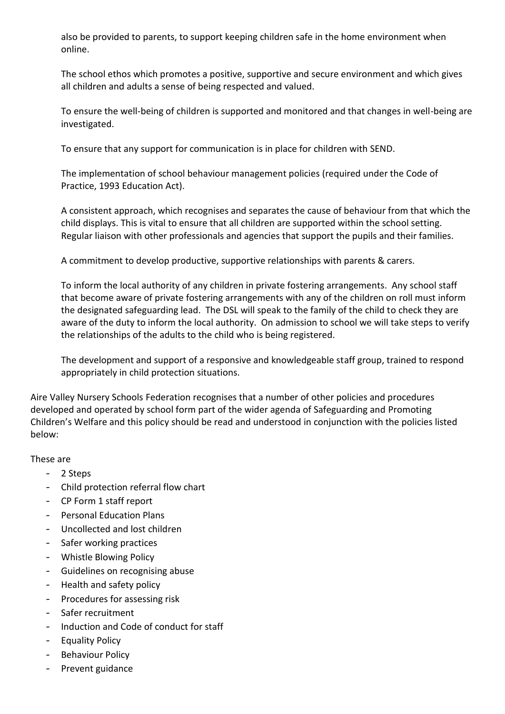also be provided to parents, to support keeping children safe in the home environment when online.

The school ethos which promotes a positive, supportive and secure environment and which gives all children and adults a sense of being respected and valued.

To ensure the well-being of children is supported and monitored and that changes in well-being are investigated.

To ensure that any support for communication is in place for children with SEND.

The implementation of school behaviour management policies (required under the Code of Practice, 1993 Education Act).

A consistent approach, which recognises and separates the cause of behaviour from that which the child displays. This is vital to ensure that all children are supported within the school setting. Regular liaison with other professionals and agencies that support the pupils and their families.

A commitment to develop productive, supportive relationships with parents & carers.

To inform the local authority of any children in private fostering arrangements. Any school staff that become aware of private fostering arrangements with any of the children on roll must inform the designated safeguarding lead. The DSL will speak to the family of the child to check they are aware of the duty to inform the local authority. On admission to school we will take steps to verify the relationships of the adults to the child who is being registered.

The development and support of a responsive and knowledgeable staff group, trained to respond appropriately in child protection situations.

Aire Valley Nursery Schools Federation recognises that a number of other policies and procedures developed and operated by school form part of the wider agenda of Safeguarding and Promoting Children's Welfare and this policy should be read and understood in conjunction with the policies listed below:

#### These are

- 2 Steps
- Child protection referral flow chart
- CP Form 1 staff report
- Personal Education Plans
- Uncollected and lost children
- Safer working practices
- Whistle Blowing Policy
- Guidelines on recognising abuse
- Health and safety policy
- Procedures for assessing risk
- Safer recruitment
- Induction and Code of conduct for staff
- Equality Policy
- Behaviour Policy
- Prevent guidance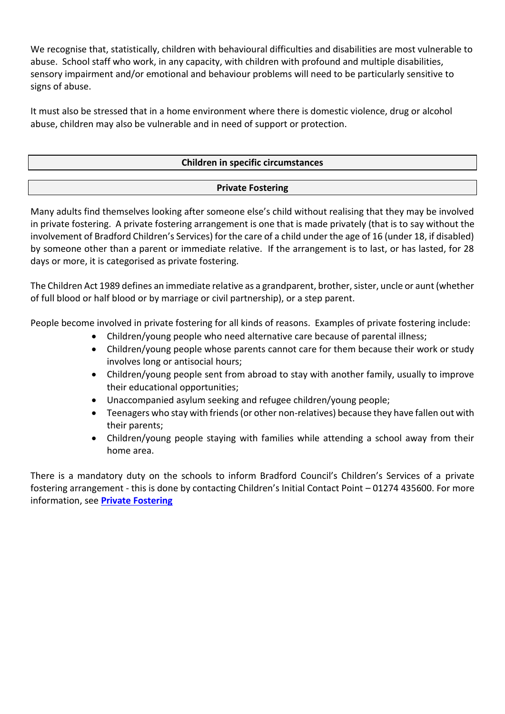We recognise that, statistically, children with behavioural difficulties and disabilities are most vulnerable to abuse. School staff who work, in any capacity, with children with profound and multiple disabilities, sensory impairment and/or emotional and behaviour problems will need to be particularly sensitive to signs of abuse.

It must also be stressed that in a home environment where there is domestic violence, drug or alcohol abuse, children may also be vulnerable and in need of support or protection.

# **Children in specific circumstances**

#### **Private Fostering**

Many adults find themselves looking after someone else's child without realising that they may be involved in private fostering. A private fostering arrangement is one that is made privately (that is to say without the involvement of Bradford Children's Services) for the care of a child under the age of 16 (under 18, if disabled) by someone other than a parent or immediate relative. If the arrangement is to last, or has lasted, for 28 days or more, it is categorised as private fostering.

The Children Act 1989 defines an immediate relative as a grandparent, brother, sister, uncle or aunt (whether of full blood or half blood or by marriage or civil partnership), or a step parent.

People become involved in private fostering for all kinds of reasons. Examples of private fostering include:

- Children/young people who need alternative care because of parental illness;
- Children/young people whose parents cannot care for them because their work or study involves long or antisocial hours;
- Children/young people sent from abroad to stay with another family, usually to improve their educational opportunities;
- Unaccompanied asylum seeking and refugee children/young people;
- Teenagers who stay with friends (or other non-relatives) because they have fallen out with their parents;
- Children/young people staying with families while attending a school away from their home area.

There is a mandatory duty on the schools to inform Bradford Council's Children's Services of a private fostering arrangement - this is done by contacting Children's Initial Contact Point – 01274 435600. For more information, see **[Private Fostering](https://www.bradford.gov.uk/children-young-people-and-families/private-fostering/private-fostering/#:~:text=If%20you%20know%20that%20you,is%20made%20in%20an%20emergency.)**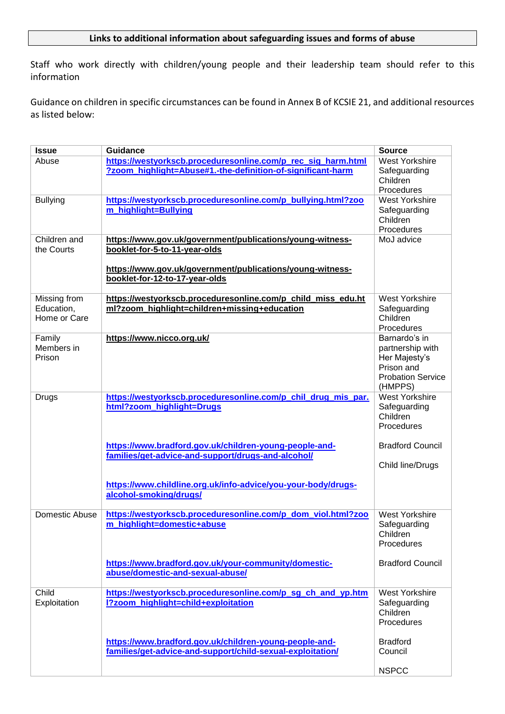#### **Links to additional information about safeguarding issues and forms of abuse**

Staff who work directly with children/young people and their leadership team should refer to this information

Guidance on children in specific circumstances can be found in Annex B of KCSIE 21, and additional resources as listed below:

| <b>Issue</b>    | <b>Guidance</b>                                               | <b>Source</b>            |
|-----------------|---------------------------------------------------------------|--------------------------|
| Abuse           | https://westyorkscb.proceduresonline.com/p_rec_sig_harm.html  | <b>West Yorkshire</b>    |
|                 | ?zoom_highlight=Abuse#1.-the-definition-of-significant-harm   | Safeguarding             |
|                 |                                                               | Children                 |
|                 |                                                               | Procedures               |
| <b>Bullying</b> | https://westyorkscb.proceduresonline.com/p_bullying.html?zoo  | <b>West Yorkshire</b>    |
|                 | m_highlight=Bullying                                          | Safeguarding             |
|                 |                                                               | Children                 |
|                 |                                                               | Procedures               |
| Children and    | https://www.gov.uk/government/publications/young-witness-     | MoJ advice               |
| the Courts      | booklet-for-5-to-11-year-olds                                 |                          |
|                 |                                                               |                          |
|                 | https://www.gov.uk/government/publications/young-witness-     |                          |
|                 | booklet-for-12-to-17-year-olds                                |                          |
| Missing from    | https://westyorkscb.proceduresonline.com/p child miss edu.ht  | <b>West Yorkshire</b>    |
| Education,      | ml?zoom_highlight=children+missing+education                  | Safeguarding             |
| Home or Care    |                                                               | Children                 |
|                 |                                                               | Procedures               |
| Family          | https://www.nicco.org.uk/                                     | Barnardo's in            |
| Members in      |                                                               | partnership with         |
| Prison          |                                                               | Her Majesty's            |
|                 |                                                               | Prison and               |
|                 |                                                               | <b>Probation Service</b> |
|                 |                                                               | (HMPPS)                  |
| Drugs           | https://westyorkscb.proceduresonline.com/p_chil_drug_mis_par. | <b>West Yorkshire</b>    |
|                 | html?zoom_highlight=Drugs                                     | Safeguarding             |
|                 |                                                               | Children                 |
|                 |                                                               | Procedures               |
|                 |                                                               |                          |
|                 | https://www.bradford.gov.uk/children-young-people-and-        | <b>Bradford Council</b>  |
|                 | families/get-advice-and-support/drugs-and-alcohol/            |                          |
|                 |                                                               | Child line/Drugs         |
|                 |                                                               |                          |
|                 | https://www.childline.org.uk/info-advice/you-your-body/drugs- |                          |
|                 | alcohol-smoking/drugs/                                        |                          |
| Domestic Abuse  | https://westyorkscb.proceduresonline.com/p_dom_viol.html?zoo  | <b>West Yorkshire</b>    |
|                 | m_highlight=domestic+abuse                                    | Safeguarding             |
|                 |                                                               | Children                 |
|                 |                                                               | Procedures               |
|                 |                                                               |                          |
|                 | https://www.bradford.gov.uk/your-community/domestic-          | <b>Bradford Council</b>  |
|                 | abuse/domestic-and-sexual-abuse/                              |                          |
|                 |                                                               |                          |
| Child           | https://westyorkscb.proceduresonline.com/p_sg_ch_and_yp.htm   | <b>West Yorkshire</b>    |
| Exploitation    | l?zoom_highlight=child+exploitation                           | Safeguarding             |
|                 |                                                               | Children                 |
|                 |                                                               | Procedures               |
|                 |                                                               |                          |
|                 | https://www.bradford.gov.uk/children-young-people-and-        | <b>Bradford</b>          |
|                 | families/get-advice-and-support/child-sexual-exploitation/    | Council                  |
|                 |                                                               |                          |
|                 |                                                               | <b>NSPCC</b>             |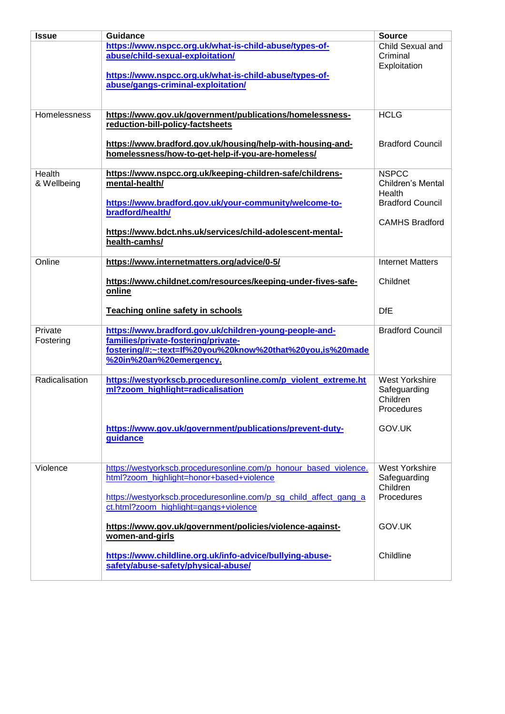| <b>Issue</b>        | <b>Guidance</b>                                                                                  | <b>Source</b>                |
|---------------------|--------------------------------------------------------------------------------------------------|------------------------------|
|                     | https://www.nspcc.org.uk/what-is-child-abuse/types-of-<br>abuse/child-sexual-exploitation/       | Child Sexual and<br>Criminal |
|                     | https://www.nspcc.org.uk/what-is-child-abuse/types-of-                                           | Exploitation                 |
|                     | abuse/gangs-criminal-exploitation/                                                               |                              |
|                     |                                                                                                  |                              |
| <b>Homelessness</b> | https://www.gov.uk/government/publications/homelessness-                                         | <b>HCLG</b>                  |
|                     | reduction-bill-policy-factsheets                                                                 |                              |
|                     | https://www.bradford.gov.uk/housing/help-with-housing-and-                                       | <b>Bradford Council</b>      |
|                     | homelessness/how-to-get-help-if-you-are-homeless/                                                |                              |
| Health              | https://www.nspcc.org.uk/keeping-children-safe/childrens-                                        | <b>NSPCC</b>                 |
| & Wellbeing         | mental-health/                                                                                   | Children's Mental<br>Health  |
|                     | https://www.bradford.gov.uk/your-community/welcome-to-                                           | <b>Bradford Council</b>      |
|                     | bradford/health/                                                                                 |                              |
|                     | https://www.bdct.nhs.uk/services/child-adolescent-mental-                                        | <b>CAMHS Bradford</b>        |
|                     | health-camhs/                                                                                    |                              |
| Online              | https://www.internetmatters.org/advice/0-5/                                                      | <b>Internet Matters</b>      |
|                     | https://www.childnet.com/resources/keeping-under-fives-safe-<br>online                           | Childnet                     |
|                     |                                                                                                  |                              |
|                     | <b>Teaching online safety in schools</b>                                                         | <b>DfE</b>                   |
| Private             | https://www.bradford.gov.uk/children-young-people-and-                                           | <b>Bradford Council</b>      |
| Fostering           | families/private-fostering/private-<br>fostering/#:~:text=lf%20you%20know%20that%20you,is%20made |                              |
|                     | %20in%20an%20emergency                                                                           |                              |
| Radicalisation      | https://westyorkscb.proceduresonline.com/p_violent_extreme.ht                                    | <b>West Yorkshire</b>        |
|                     | ml?zoom highlight=radicalisation                                                                 | Safeguarding<br>Children     |
|                     |                                                                                                  | Procedures                   |
|                     |                                                                                                  |                              |
|                     | https://www.gov.uk/government/publications/prevent-duty-<br>guidance                             | GOV.UK                       |
|                     |                                                                                                  |                              |
| Violence            | https://westyorkscb.proceduresonline.com/p_honour_based_violence.                                | <b>West Yorkshire</b>        |
|                     | html?zoom_highlight=honor+based+violence                                                         | Safeguarding<br>Children     |
|                     | https://westyorkscb.proceduresonline.com/p sq child affect gang a                                | Procedures                   |
|                     | ct.html?zoom_highlight=gangs+violence                                                            |                              |
|                     | https://www.gov.uk/government/policies/violence-against-                                         | GOV.UK                       |
|                     | women-and-girls                                                                                  |                              |
|                     | https://www.childline.org.uk/info-advice/bullying-abuse-                                         | Childline                    |
|                     | safety/abuse-safety/physical-abuse/                                                              |                              |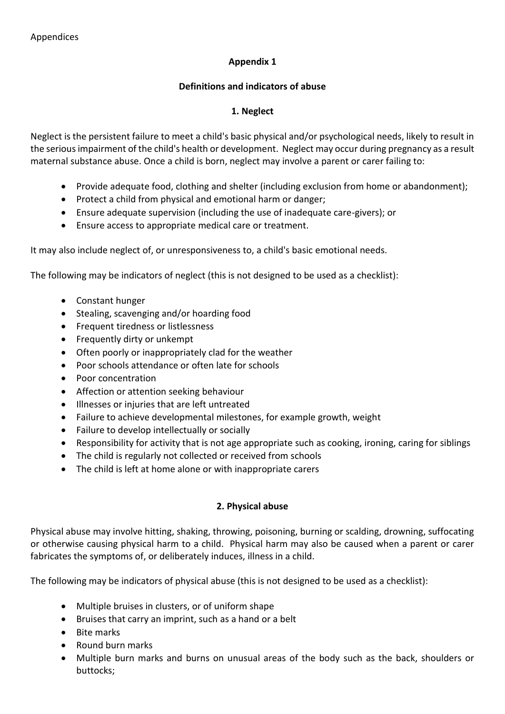# **Appendix 1**

# **Definitions and indicators of abuse**

# **1. Neglect**

Neglect is the persistent failure to meet a child's basic physical and/or psychological needs, likely to result in the serious impairment of the child's health or development. Neglect may occur during pregnancy as a result maternal substance abuse. Once a child is born, neglect may involve a parent or carer failing to:

- Provide adequate food, clothing and shelter (including exclusion from home or abandonment);
- Protect a child from physical and emotional harm or danger;
- Ensure adequate supervision (including the use of inadequate care-givers); or
- Ensure access to appropriate medical care or treatment.

It may also include neglect of, or unresponsiveness to, a child's basic emotional needs.

The following may be indicators of neglect (this is not designed to be used as a checklist):

- Constant hunger
- Stealing, scavenging and/or hoarding food
- Frequent tiredness or listlessness
- Frequently dirty or unkempt
- Often poorly or inappropriately clad for the weather
- Poor schools attendance or often late for schools
- Poor concentration
- Affection or attention seeking behaviour
- Illnesses or injuries that are left untreated
- Failure to achieve developmental milestones, for example growth, weight
- Failure to develop intellectually or socially
- Responsibility for activity that is not age appropriate such as cooking, ironing, caring for siblings
- The child is regularly not collected or received from schools
- The child is left at home alone or with inappropriate carers

# **2. Physical abuse**

Physical abuse may involve hitting, shaking, throwing, poisoning, burning or scalding, drowning, suffocating or otherwise causing physical harm to a child. Physical harm may also be caused when a parent or carer fabricates the symptoms of, or deliberately induces, illness in a child.

The following may be indicators of physical abuse (this is not designed to be used as a checklist):

- Multiple bruises in clusters, or of uniform shape
- Bruises that carry an imprint, such as a hand or a belt
- Bite marks
- Round burn marks
- Multiple burn marks and burns on unusual areas of the body such as the back, shoulders or buttocks;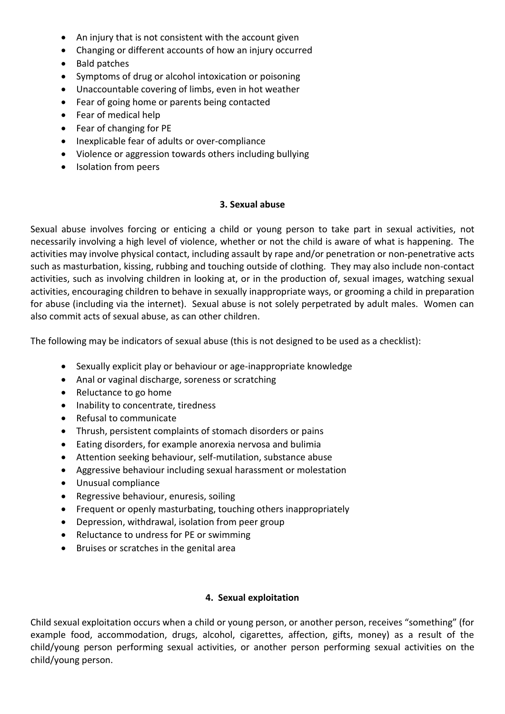- An injury that is not consistent with the account given
- Changing or different accounts of how an injury occurred
- Bald patches
- Symptoms of drug or alcohol intoxication or poisoning
- Unaccountable covering of limbs, even in hot weather
- Fear of going home or parents being contacted
- Fear of medical help
- Fear of changing for PE
- Inexplicable fear of adults or over-compliance
- Violence or aggression towards others including bullying
- Isolation from peers

#### **3. Sexual abuse**

Sexual abuse involves forcing or enticing a child or young person to take part in sexual activities, not necessarily involving a high level of violence, whether or not the child is aware of what is happening. The activities may involve physical contact, including assault by rape and/or penetration or non-penetrative acts such as masturbation, kissing, rubbing and touching outside of clothing*.* They may also include non-contact activities, such as involving children in looking at, or in the production of, sexual images, watching sexual activities, encouraging children to behave in sexually inappropriate ways, or grooming a child in preparation for abuse (including via the internet). Sexual abuse is not solely perpetrated by adult males. Women can also commit acts of sexual abuse, as can other children.

The following may be indicators of sexual abuse (this is not designed to be used as a checklist):

- Sexually explicit play or behaviour or age-inappropriate knowledge
- Anal or vaginal discharge, soreness or scratching
- Reluctance to go home
- Inability to concentrate, tiredness
- Refusal to communicate
- Thrush, persistent complaints of stomach disorders or pains
- Eating disorders, for example anorexia nervosa and bulimia
- Attention seeking behaviour, self-mutilation, substance abuse
- Aggressive behaviour including sexual harassment or molestation
- Unusual compliance
- Regressive behaviour, enuresis, soiling
- Frequent or openly masturbating, touching others inappropriately
- Depression, withdrawal, isolation from peer group
- Reluctance to undress for PE or swimming
- Bruises or scratches in the genital area

# **4. Sexual exploitation**

Child sexual exploitation occurs when a child or young person, or another person, receives "something" (for example food, accommodation, drugs, alcohol, cigarettes, affection, gifts, money) as a result of the child/young person performing sexual activities, or another person performing sexual activities on the child/young person.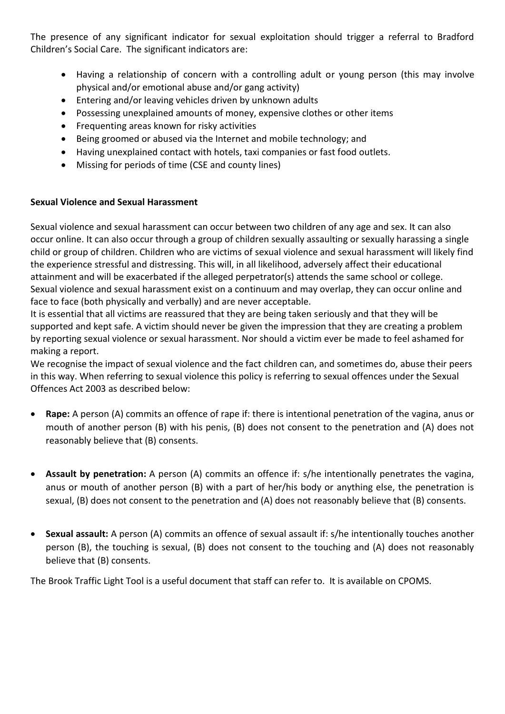The presence of any significant indicator for sexual exploitation should trigger a referral to Bradford Children's Social Care. The significant indicators are:

- Having a relationship of concern with a controlling adult or young person (this may involve physical and/or emotional abuse and/or gang activity)
- Entering and/or leaving vehicles driven by unknown adults
- Possessing unexplained amounts of money, expensive clothes or other items
- Frequenting areas known for risky activities
- Being groomed or abused via the Internet and mobile technology; and
- Having unexplained contact with hotels, taxi companies or fast food outlets.
- Missing for periods of time (CSE and county lines)

#### **Sexual Violence and Sexual Harassment**

Sexual violence and sexual harassment can occur between two children of any age and sex. It can also occur online. It can also occur through a group of children sexually assaulting or sexually harassing a single child or group of children. Children who are victims of sexual violence and sexual harassment will likely find the experience stressful and distressing. This will, in all likelihood, adversely affect their educational attainment and will be exacerbated if the alleged perpetrator(s) attends the same school or college. Sexual violence and sexual harassment exist on a continuum and may overlap, they can occur online and face to face (both physically and verbally) and are never acceptable.

It is essential that all victims are reassured that they are being taken seriously and that they will be supported and kept safe. A victim should never be given the impression that they are creating a problem by reporting sexual violence or sexual harassment. Nor should a victim ever be made to feel ashamed for making a report.

We recognise the impact of sexual violence and the fact children can, and sometimes do, abuse their peers in this way. When referring to sexual violence this policy is referring to sexual offences under the Sexual Offences Act 2003 as described below:

- **Rape:** A person (A) commits an offence of rape if: there is intentional penetration of the vagina, anus or mouth of another person (B) with his penis, (B) does not consent to the penetration and (A) does not reasonably believe that (B) consents.
- **Assault by penetration:** A person (A) commits an offence if: s/he intentionally penetrates the vagina, anus or mouth of another person (B) with a part of her/his body or anything else, the penetration is sexual, (B) does not consent to the penetration and (A) does not reasonably believe that (B) consents.
- **Sexual assault:** A person (A) commits an offence of sexual assault if: s/he intentionally touches another person (B), the touching is sexual, (B) does not consent to the touching and (A) does not reasonably believe that (B) consents.

The Brook Traffic Light Tool is a useful document that staff can refer to. It is available on CPOMS.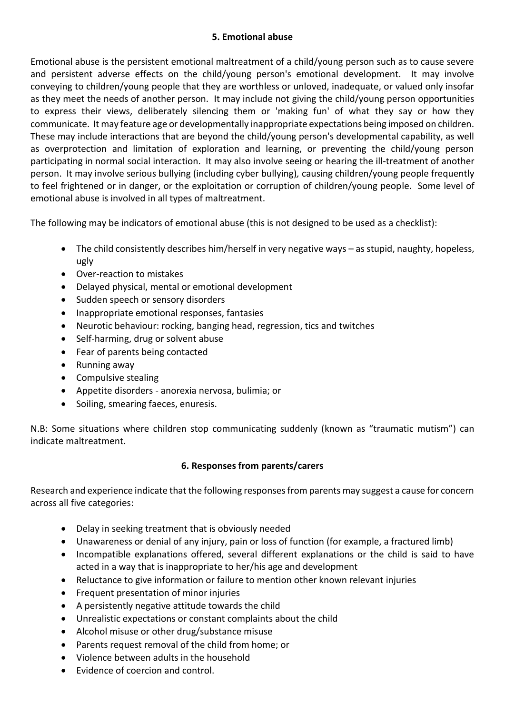# **5. Emotional abuse**

Emotional abuse is the persistent emotional maltreatment of a child/young person such as to cause severe and persistent adverse effects on the child/young person's emotional development. It may involve conveying to children/young people that they are worthless or unloved, inadequate, or valued only insofar as they meet the needs of another person. It may include not giving the child/young person opportunities to express their views, deliberately silencing them or 'making fun' of what they say or how they communicate. It may feature age or developmentally inappropriate expectations being imposed on children. These may include interactions that are beyond the child/young person's developmental capability, as well as overprotection and limitation of exploration and learning, or preventing the child/young person participating in normal social interaction. It may also involve seeing or hearing the ill-treatment of another person. It may involve serious bullying (including cyber bullying)*,* causing children/young people frequently to feel frightened or in danger, or the exploitation or corruption of children/young people. Some level of emotional abuse is involved in all types of maltreatment.

The following may be indicators of emotional abuse (this is not designed to be used as a checklist):

- The child consistently describes him/herself in very negative ways as stupid, naughty, hopeless, ugly
- Over-reaction to mistakes
- Delayed physical, mental or emotional development
- Sudden speech or sensory disorders
- Inappropriate emotional responses, fantasies
- Neurotic behaviour: rocking, banging head, regression, tics and twitches
- Self-harming, drug or solvent abuse
- Fear of parents being contacted
- Running away
- Compulsive stealing
- Appetite disorders anorexia nervosa, bulimia; or
- Soiling, smearing faeces, enuresis.

N.B: Some situations where children stop communicating suddenly (known as "traumatic mutism") can indicate maltreatment.

# **6. Responses from parents/carers**

Research and experience indicate that the following responses from parents may suggest a cause for concern across all five categories:

- Delay in seeking treatment that is obviously needed
- Unawareness or denial of any injury, pain or loss of function (for example, a fractured limb)
- Incompatible explanations offered, several different explanations or the child is said to have acted in a way that is inappropriate to her/his age and development
- Reluctance to give information or failure to mention other known relevant injuries
- Frequent presentation of minor injuries
- A persistently negative attitude towards the child
- Unrealistic expectations or constant complaints about the child
- Alcohol misuse or other drug/substance misuse
- Parents request removal of the child from home; or
- Violence between adults in the household
- Evidence of coercion and control.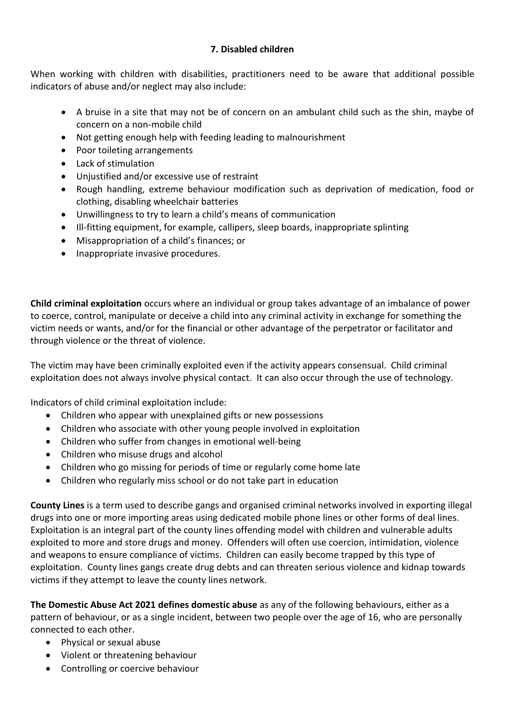# **7. Disabled children**

When working with children with disabilities, practitioners need to be aware that additional possible indicators of abuse and/or neglect may also include:

- A bruise in a site that may not be of concern on an ambulant child such as the shin, maybe of concern on a non-mobile child
- Not getting enough help with feeding leading to malnourishment
- Poor toileting arrangements
- Lack of stimulation
- Uniustified and/or excessive use of restraint
- Rough handling, extreme behaviour modification such as deprivation of medication, food or clothing, disabling wheelchair batteries
- Unwillingness to try to learn a child's means of communication
- Ill-fitting equipment, for example, callipers, sleep boards, inappropriate splinting
- Misappropriation of a child's finances; or
- Inappropriate invasive procedures.

**Child criminal exploitation** occurs where an individual or group takes advantage of an imbalance of power to coerce, control, manipulate or deceive a child into any criminal activity in exchange for something the victim needs or wants, and/or for the financial or other advantage of the perpetrator or facilitator and through violence or the threat of violence.

The victim may have been criminally exploited even if the activity appears consensual. Child criminal exploitation does not always involve physical contact. It can also occur through the use of technology.

Indicators of child criminal exploitation include:

- Children who appear with unexplained gifts or new possessions
- Children who associate with other young people involved in exploitation
- Children who suffer from changes in emotional well-being
- Children who misuse drugs and alcohol
- Children who go missing for periods of time or regularly come home late
- Children who regularly miss school or do not take part in education

**County Lines** is a term used to describe gangs and organised criminal networks involved in exporting illegal drugs into one or more importing areas using dedicated mobile phone lines or other forms of deal lines. Exploitation is an integral part of the county lines offending model with children and vulnerable adults exploited to more and store drugs and money. Offenders will often use coercion, intimidation, violence and weapons to ensure compliance of victims. Children can easily become trapped by this type of exploitation. County lines gangs create drug debts and can threaten serious violence and kidnap towards victims if they attempt to leave the county lines network.

**The Domestic Abuse Act 2021 defines domestic abuse** as any of the following behaviours, either as a pattern of behaviour, or as a single incident, between two people over the age of 16, who are personally connected to each other.

- Physical or sexual abuse
- Violent or threatening behaviour
- Controlling or coercive behaviour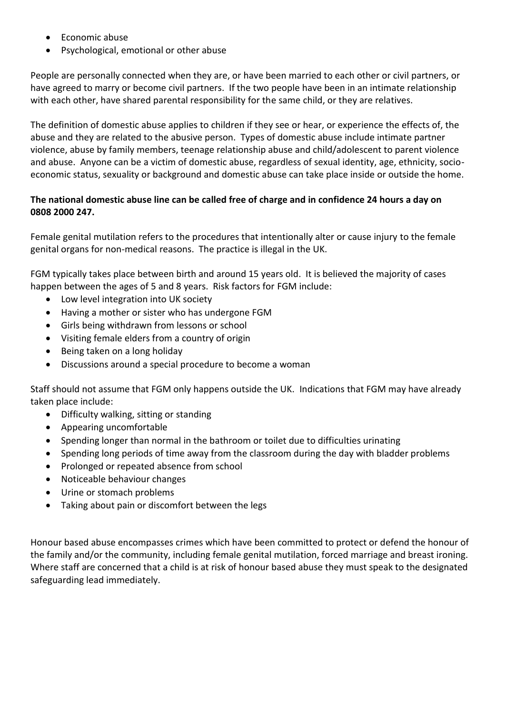- Economic abuse
- Psychological, emotional or other abuse

People are personally connected when they are, or have been married to each other or civil partners, or have agreed to marry or become civil partners. If the two people have been in an intimate relationship with each other, have shared parental responsibility for the same child, or they are relatives.

The definition of domestic abuse applies to children if they see or hear, or experience the effects of, the abuse and they are related to the abusive person. Types of domestic abuse include intimate partner violence, abuse by family members, teenage relationship abuse and child/adolescent to parent violence and abuse. Anyone can be a victim of domestic abuse, regardless of sexual identity, age, ethnicity, socioeconomic status, sexuality or background and domestic abuse can take place inside or outside the home.

# **The national domestic abuse line can be called free of charge and in confidence 24 hours a day on 0808 2000 247.**

Female genital mutilation refers to the procedures that intentionally alter or cause injury to the female genital organs for non-medical reasons. The practice is illegal in the UK.

FGM typically takes place between birth and around 15 years old. It is believed the majority of cases happen between the ages of 5 and 8 years. Risk factors for FGM include:

- Low level integration into UK society
- Having a mother or sister who has undergone FGM
- Girls being withdrawn from lessons or school
- Visiting female elders from a country of origin
- Being taken on a long holiday
- Discussions around a special procedure to become a woman

Staff should not assume that FGM only happens outside the UK. Indications that FGM may have already taken place include:

- Difficulty walking, sitting or standing
- Appearing uncomfortable
- Spending longer than normal in the bathroom or toilet due to difficulties urinating
- Spending long periods of time away from the classroom during the day with bladder problems
- Prolonged or repeated absence from school
- Noticeable behaviour changes
- Urine or stomach problems
- Taking about pain or discomfort between the legs

Honour based abuse encompasses crimes which have been committed to protect or defend the honour of the family and/or the community, including female genital mutilation, forced marriage and breast ironing. Where staff are concerned that a child is at risk of honour based abuse they must speak to the designated safeguarding lead immediately.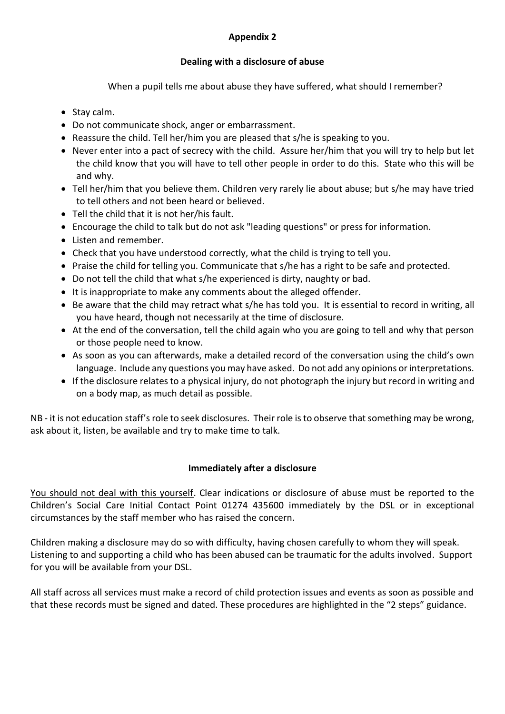# **Appendix 2**

# **Dealing with a disclosure of abuse**

When a pupil tells me about abuse they have suffered, what should I remember?

- Stay calm.
- Do not communicate shock, anger or embarrassment.
- Reassure the child. Tell her/him you are pleased that s/he is speaking to you.
- Never enter into a pact of secrecy with the child. Assure her/him that you will try to help but let the child know that you will have to tell other people in order to do this. State who this will be and why.
- Tell her/him that you believe them. Children very rarely lie about abuse; but s/he may have tried to tell others and not been heard or believed.
- Tell the child that it is not her/his fault.
- Encourage the child to talk but do not ask "leading questions" or press for information.
- Listen and remember.
- Check that you have understood correctly, what the child is trying to tell you.
- Praise the child for telling you. Communicate that s/he has a right to be safe and protected.
- Do not tell the child that what s/he experienced is dirty, naughty or bad.
- It is inappropriate to make any comments about the alleged offender.
- Be aware that the child may retract what s/he has told you. It is essential to record in writing, all you have heard, though not necessarily at the time of disclosure.
- At the end of the conversation, tell the child again who you are going to tell and why that person or those people need to know.
- As soon as you can afterwards, make a detailed record of the conversation using the child's own language. Include any questions you may have asked. Do not add any opinions or interpretations.
- If the disclosure relates to a physical injury, do not photograph the injury but record in writing and on a body map, as much detail as possible.

NB - it is not education staff's role to seek disclosures. Their role is to observe that something may be wrong, ask about it, listen, be available and try to make time to talk.

# **Immediately after a disclosure**

You should not deal with this yourself. Clear indications or disclosure of abuse must be reported to the Children's Social Care Initial Contact Point 01274 435600 immediately by the DSL or in exceptional circumstances by the staff member who has raised the concern.

Children making a disclosure may do so with difficulty, having chosen carefully to whom they will speak. Listening to and supporting a child who has been abused can be traumatic for the adults involved. Support for you will be available from your DSL.

All staff across all services must make a record of child protection issues and events as soon as possible and that these records must be signed and dated. These procedures are highlighted in the "2 steps" guidance.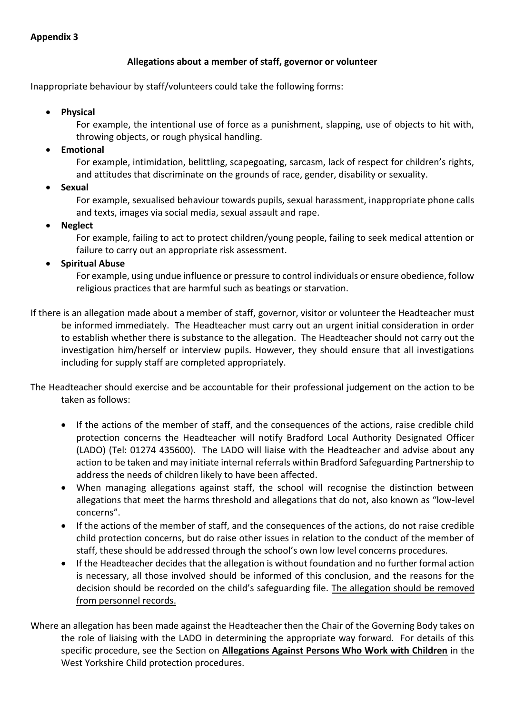# **Allegations about a member of staff, governor or volunteer**

Inappropriate behaviour by staff/volunteers could take the following forms:

**Physical** 

For example, the intentional use of force as a punishment, slapping, use of objects to hit with, throwing objects, or rough physical handling.

**Emotional** 

For example, intimidation, belittling, scapegoating, sarcasm, lack of respect for children's rights, and attitudes that discriminate on the grounds of race, gender, disability or sexuality.

**Sexual** 

For example, sexualised behaviour towards pupils, sexual harassment, inappropriate phone calls and texts, images via social media, sexual assault and rape.

**Neglect**

For example, failing to act to protect children/young people, failing to seek medical attention or failure to carry out an appropriate risk assessment.

**•** Spiritual Abuse

For example, using undue influence or pressure to control individuals or ensure obedience, follow religious practices that are harmful such as beatings or starvation.

If there is an allegation made about a member of staff, governor, visitor or volunteer the Headteacher must be informed immediately. The Headteacher must carry out an urgent initial consideration in order to establish whether there is substance to the allegation. The Headteacher should not carry out the investigation him/herself or interview pupils. However, they should ensure that all investigations including for supply staff are completed appropriately.

The Headteacher should exercise and be accountable for their professional judgement on the action to be taken as follows:

- If the actions of the member of staff, and the consequences of the actions, raise credible child protection concerns the Headteacher will notify Bradford Local Authority Designated Officer (LADO) (Tel: 01274 435600). The LADO will liaise with the Headteacher and advise about any action to be taken and may initiate internal referrals within Bradford Safeguarding Partnership to address the needs of children likely to have been affected.
- When managing allegations against staff, the school will recognise the distinction between allegations that meet the harms threshold and allegations that do not, also known as "low-level concerns".
- If the actions of the member of staff, and the consequences of the actions, do not raise credible child protection concerns, but do raise other issues in relation to the conduct of the member of staff, these should be addressed through the school's own low level concerns procedures.
- If the Headteacher decides that the allegation is without foundation and no further formal action is necessary, all those involved should be informed of this conclusion, and the reasons for the decision should be recorded on the child's safeguarding file. The allegation should be removed from personnel records.
- Where an allegation has been made against the Headteacher then the Chair of the Governing Body takes on the role of liaising with the LADO in determining the appropriate way forward. For details of this specific procedure, see the Section on **[Allegations Against Persons Who Work with Children](https://westyorkscb.proceduresonline.com/p_alleg_staff.html?zoom_highlight=Allegations+against+staff+who+work+with+children)** in the West Yorkshire Child protection procedures.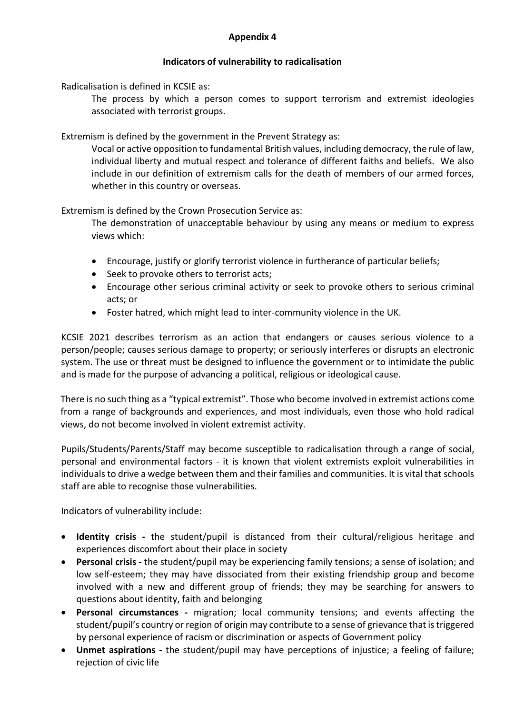# **Appendix 4**

# **Indicators of vulnerability to radicalisation**

Radicalisation is defined in KCSIE as:

The process by which a person comes to support terrorism and extremist ideologies associated with terrorist groups.

Extremism is defined by the government in the Prevent Strategy as:

Vocal or active opposition to fundamental British values, including democracy, the rule of law, individual liberty and mutual respect and tolerance of different faiths and beliefs. We also include in our definition of extremism calls for the death of members of our armed forces, whether in this country or overseas.

Extremism is defined by the Crown Prosecution Service as:

The demonstration of unacceptable behaviour by using any means or medium to express views which:

- Encourage, justify or glorify terrorist violence in furtherance of particular beliefs;
- Seek to provoke others to terrorist acts;
- Encourage other serious criminal activity or seek to provoke others to serious criminal acts; or
- Foster hatred, which might lead to inter-community violence in the UK.

KCSIE 2021 describes terrorism as an action that endangers or causes serious violence to a person/people; causes serious damage to property; or seriously interferes or disrupts an electronic system. The use or threat must be designed to influence the government or to intimidate the public and is made for the purpose of advancing a political, religious or ideological cause.

There is no such thing as a "typical extremist". Those who become involved in extremist actions come from a range of backgrounds and experiences, and most individuals, even those who hold radical views, do not become involved in violent extremist activity.

Pupils/Students/Parents/Staff may become susceptible to radicalisation through a range of social, personal and environmental factors - it is known that violent extremists exploit vulnerabilities in individuals to drive a wedge between them and their families and communities. It is vital that schools staff are able to recognise those vulnerabilities.

Indicators of vulnerability include:

- **Identity crisis -** the student/pupil is distanced from their cultural/religious heritage and experiences discomfort about their place in society
- **Personal crisis -** the student/pupil may be experiencing family tensions; a sense of isolation; and low self-esteem; they may have dissociated from their existing friendship group and become involved with a new and different group of friends; they may be searching for answers to questions about identity, faith and belonging
- **Personal circumstances -** migration; local community tensions; and events affecting the student/pupil's country or region of origin may contribute to a sense of grievance that is triggered by personal experience of racism or discrimination or aspects of Government policy
- **Unmet aspirations -** the student/pupil may have perceptions of injustice; a feeling of failure; rejection of civic life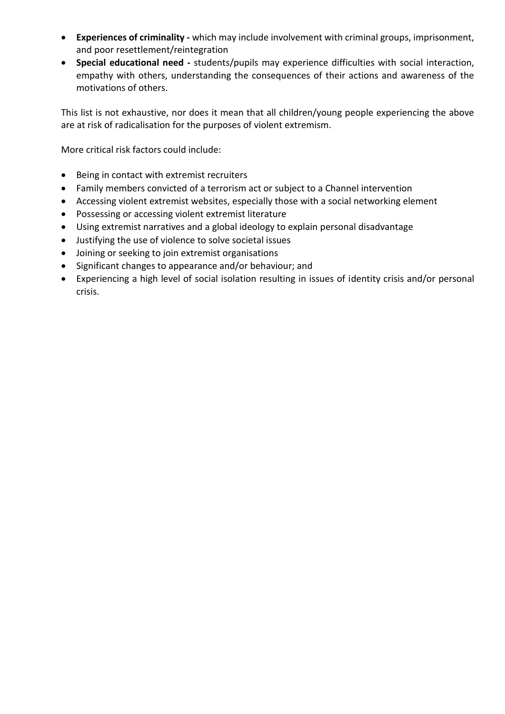- **Experiences of criminality -** which may include involvement with criminal groups, imprisonment, and poor resettlement/reintegration
- **Special educational need -** students/pupils may experience difficulties with social interaction, empathy with others, understanding the consequences of their actions and awareness of the motivations of others.

This list is not exhaustive, nor does it mean that all children/young people experiencing the above are at risk of radicalisation for the purposes of violent extremism.

More critical risk factors could include:

- Being in contact with extremist recruiters
- Family members convicted of a terrorism act or subject to a Channel intervention
- Accessing violent extremist websites, especially those with a social networking element
- Possessing or accessing violent extremist literature
- Using extremist narratives and a global ideology to explain personal disadvantage
- Justifying the use of violence to solve societal issues
- Joining or seeking to join extremist organisations
- Significant changes to appearance and/or behaviour; and
- Experiencing a high level of social isolation resulting in issues of identity crisis and/or personal crisis.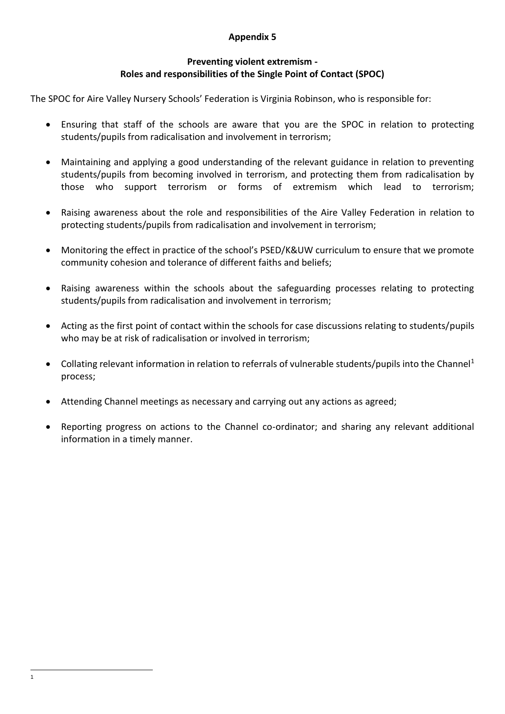# **Appendix 5**

# **Preventing violent extremism - Roles and responsibilities of the Single Point of Contact (SPOC)**

The SPOC for Aire Valley Nursery Schools' Federation is Virginia Robinson, who is responsible for:

- Ensuring that staff of the schools are aware that you are the SPOC in relation to protecting students/pupils from radicalisation and involvement in terrorism;
- Maintaining and applying a good understanding of the relevant guidance in relation to preventing students/pupils from becoming involved in terrorism, and protecting them from radicalisation by those who support terrorism or forms of extremism which lead to terrorism;
- Raising awareness about the role and responsibilities of the Aire Valley Federation in relation to protecting students/pupils from radicalisation and involvement in terrorism;
- Monitoring the effect in practice of the school's PSED/K&UW curriculum to ensure that we promote community cohesion and tolerance of different faiths and beliefs;
- Raising awareness within the schools about the safeguarding processes relating to protecting students/pupils from radicalisation and involvement in terrorism;
- Acting as the first point of contact within the schools for case discussions relating to students/pupils who may be at risk of radicalisation or involved in terrorism;
- Collating relevant information in relation to referrals of vulnerable students/pupils into the Channel<sup>1</sup> process;
- Attending Channel meetings as necessary and carrying out any actions as agreed;
- Reporting progress on actions to the Channel co-ordinator; and sharing any relevant additional information in a timely manner.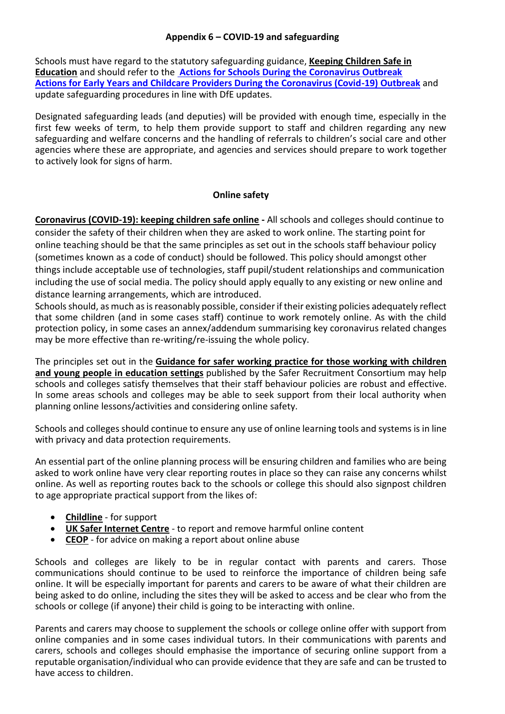#### **Appendix 6 – COVID-19 and safeguarding**

Schools must have regard to the statutory safeguarding guidance, **[Keeping Children Safe in](https://www.gov.uk/government/publications/keeping-children-safe-in-education--2)  [Education](https://www.gov.uk/government/publications/keeping-children-safe-in-education--2)** and should refer to the **[Actions for Schools During the Coronavirus Outbreak](https://www.gov.uk/government/publications/actions-for-schools-during-the-coronavirus-outbreak)  [Actions for Early Years and Childcare Providers During the Coronavirus \(Covid-19\) Outbreak](https://www.gov.uk/government/publications/coronavirus-covid-19-early-years-and-childcare-closures/coronavirus-covid-19-early-years-and-childcare-closures)** and update safeguarding procedures in line with DfE updates.

Designated safeguarding leads (and deputies) will be provided with enough time, especially in the first few weeks of term, to help them provide support to staff and children regarding any new safeguarding and welfare concerns and the handling of referrals to children's social care and other agencies where these are appropriate, and agencies and services should prepare to work together to actively look for signs of harm.

#### **Online safety**

**[Coronavirus \(COVID-19\): keeping children safe online](https://www.gov.uk/government/publications/coronavirus-covid-19-keeping-children-safe-online) -** All schools and colleges should continue to consider the safety of their children when they are asked to work online. The starting point for online teaching should be that the same principles as set out in the schools staff behaviour policy (sometimes known as a code of conduct) should be followed. This policy should amongst other things include acceptable use of technologies, staff pupil/student relationships and communication including the use of social media. The policy should apply equally to any existing or new online and distance learning arrangements, which are introduced.

Schools should, as much as is reasonably possible, consider if their existing policies adequately reflect that some children (and in some cases staff) continue to work remotely online. As with the child protection policy, in some cases an annex/addendum summarising key coronavirus related changes may be more effective than re-writing/re-issuing the whole policy.

The principles set out in the **[Guidance for safer working practice for those working with children](https://www.saferrecruitmentconsortium.org/GSWP%20Sept%202019.pdf)  [and young people in education settings](https://www.saferrecruitmentconsortium.org/GSWP%20Sept%202019.pdf)** published by the Safer Recruitment Consortium may help schools and colleges satisfy themselves that their staff behaviour policies are robust and effective. In some areas schools and colleges may be able to seek support from their local authority when planning online lessons/activities and considering online safety.

Schools and colleges should continue to ensure any use of online learning tools and systems is in line with privacy and data protection requirements.

An essential part of the online planning process will be ensuring children and families who are being asked to work online have very clear reporting routes in place so they can raise any concerns whilst online. As well as reporting routes back to the schools or college this should also signpost children to age appropriate practical support from the likes of:

- **[Childline](https://www.childline.org.uk/?utm_source=google&utm_medium=cpc&utm_campaign=UK_GO_S_B_BND_Grant_Childline_Information&utm_term=role_of_childline&gclsrc=aw.ds&&gclid=EAIaIQobChMIlfLRh-ez6AIVRrDtCh1N9QR2EAAYASAAEgLc-vD_BwE&gclsrc=aw.ds)** for support
- **[UK Safer Internet Centre](https://reportharmfulcontent.com/)** to report and remove harmful online content
- **[CEOP](https://www.ceop.police.uk/safety-centre/)** for advice on making a report about online abuse

Schools and colleges are likely to be in regular contact with parents and carers. Those communications should continue to be used to reinforce the importance of children being safe online. It will be especially important for parents and carers to be aware of what their children are being asked to do online, including the sites they will be asked to access and be clear who from the schools or college (if anyone) their child is going to be interacting with online.

Parents and carers may choose to supplement the schools or college online offer with support from online companies and in some cases individual tutors. In their communications with parents and carers, schools and colleges should emphasise the importance of securing online support from a reputable organisation/individual who can provide evidence that they are safe and can be trusted to have access to children.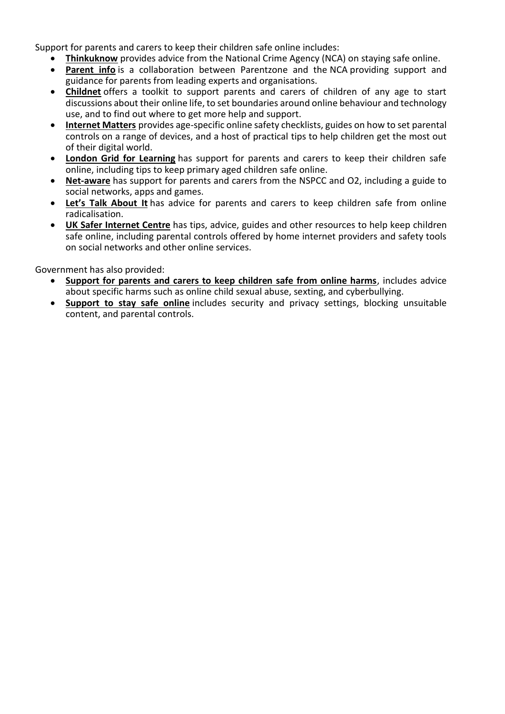Support for parents and carers to keep their children safe online includes:

- **[Thinkuknow](http://www.thinkuknow.co.uk/)** provides advice from the National Crime Agency (NCA) on staying safe online.<br>  **Parent info** is a collaboration between Parentzone and the NCA providing support and
- **[Parent info](https://parentinfo.org/)** is a collaboration between Parentzone and the NCA providing support and guidance for parents from leading experts and organisations.
- **[Childnet](https://www.childnet.com/parents-and-carers/parent-and-carer-toolkit)** offers a toolkit to support parents and carers of children of any age to start discussions about their online life, to set boundaries around online behaviour and technology use, and to find out where to get more help and support.
- **[Internet Matters](https://www.internetmatters.org/?gclid=EAIaIQobChMIktuA5LWK2wIVRYXVCh2afg2aEAAYASAAEgIJ5vD_BwE)** provides age-specific online safety checklists, guides on how to set parental controls on a range of devices, and a host of practical tips to help children get the most out of their digital world.
- **[London Grid for Learning](http://www.lgfl.net/online-safety/)** has support for parents and carers to keep their children safe online, including tips to keep primary aged children safe online.
- **[Net-aware](https://www.net-aware.org.uk/)** has support for parents and carers from the NSPCC and O2, including a guide to social networks, apps and games.
- **[Let's Talk About](https://www.ltai.info/staying-safe-online/) It** has advice for parents and carers to keep children safe from online radicalisation.
- **[UK Safer Internet Centre](https://www.saferinternet.org.uk/advice-centre/parents-and-carers)** has tips, advice, guides and other resources to help keep children safe online, including parental controls offered by home internet providers and safety tools on social networks and other online services.

Government has also provided:

- **[Support for parents and carers to keep children safe from online harms](https://www.gov.uk/government/publications/coronavirus-covid-19-keeping-children-safe-online/coronavirus-covid-19-support-for-parents-and-carers-to-keep-children-safe-online)**, includes advice about specific harms such as online child sexual abuse, sexting, and cyberbullying.
- **[Support to stay safe online](https://www.gov.uk/guidance/covid-19-staying-safe-online)** includes security and privacy settings, blocking unsuitable content, and parental controls.